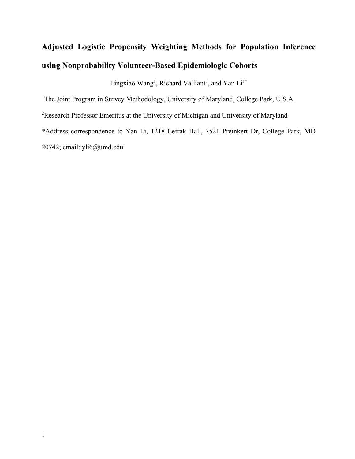# **Adjusted Logistic Propensity Weighting Methods for Population Inference using Nonprobability Volunteer-Based Epidemiologic Cohorts**

Lingxiao Wang<sup>1</sup>, Richard Valliant<sup>2</sup>, and Yan Li<sup>1\*</sup>

<sup>1</sup>The Joint Program in Survey Methodology, University of Maryland, College Park, U.S.A.

<sup>2</sup>Research Professor Emeritus at the University of Michigan and University of Maryland

*\**Address correspondence to Yan Li, 1218 Lefrak Hall, 7521 Preinkert Dr, College Park, MD

20742; email: yli6@umd.edu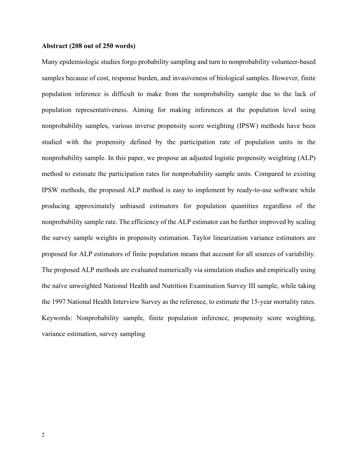#### **Abstract (208 out of 250 words)**

Many epidemiologic studies forgo probability sampling and turn to nonprobability volunteer-based samples because of cost, response burden, and invasiveness of biological samples. However, finite population inference is difficult to make from the nonprobability sample due to the lack of population representativeness. Aiming for making inferences at the population level using nonprobability samples, various inverse propensity score weighting (IPSW) methods have been studied with the propensity defined by the participation rate of population units in the nonprobability sample. In this paper, we propose an adjusted logistic propensity weighting (ALP) method to estimate the participation rates for nonprobability sample units. Compared to existing IPSW methods, the proposed ALP method is easy to implement by ready-to-use software while producing approximately unbiased estimators for population quantities regardless of the nonprobability sample rate. The efficiency of the ALP estimator can be further improved by scaling the survey sample weights in propensity estimation. Taylor linearization variance estimators are proposed for ALP estimators of finite population means that account for all sources of variability. The proposed ALP methods are evaluated numerically via simulation studies and empirically using the naïve unweighted National Health and Nutrition Examination Survey III sample, while taking the 1997 National Health Interview Survey as the reference, to estimate the 15-year mortality rates. Keywords: Nonprobability sample, finite population inference, propensity score weighting, variance estimation, survey sampling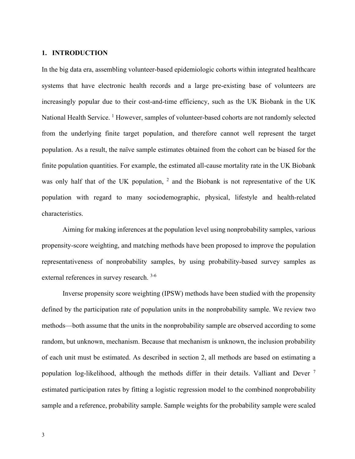#### **1. INTRODUCTION**

In the big data era, assembling volunteer-based epidemiologic cohorts within integrated healthcare systems that have electronic health records and a large pre-existing base of volunteers are increasingly popular due to their cost-and-time efficiency, such as the UK Biobank in the UK National Health Service.<sup>1</sup> However, samples of volunteer-based cohorts are not randomly selected from the underlying finite target population, and therefore cannot well represent the target population. As a result, the naïve sample estimates obtained from the cohort can be biased for the finite population quantities. For example, the estimated all-cause mortality rate in the UK Biobank was only half that of the UK population,  $2$  and the Biobank is not representative of the UK population with regard to many sociodemographic, physical, lifestyle and health-related characteristics.

Aiming for making inferences at the population level using nonprobability samples, various propensity-score weighting, and matching methods have been proposed to improve the population representativeness of nonprobability samples, by using probability-based survey samples as external references in survey research. 3-6

Inverse propensity score weighting (IPSW) methods have been studied with the propensity defined by the participation rate of population units in the nonprobability sample. We review two methods—both assume that the units in the nonprobability sample are observed according to some random, but unknown, mechanism. Because that mechanism is unknown, the inclusion probability of each unit must be estimated. As described in section 2, all methods are based on estimating a population log-likelihood, although the methods differ in their details. Valliant and Dever <sup>7</sup> estimated participation rates by fitting a logistic regression model to the combined nonprobability sample and a reference, probability sample. Sample weights for the probability sample were scaled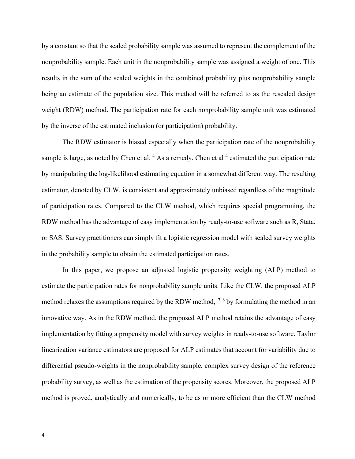by a constant so that the scaled probability sample was assumed to represent the complement of the nonprobability sample. Each unit in the nonprobability sample was assigned a weight of one. This results in the sum of the scaled weights in the combined probability plus nonprobability sample being an estimate of the population size. This method will be referred to as the rescaled design weight (RDW) method. The participation rate for each nonprobability sample unit was estimated by the inverse of the estimated inclusion (or participation) probability.

The RDW estimator is biased especially when the participation rate of the nonprobability sample is large, as noted by Chen et al.  $4$  As a remedy, Chen et al  $4$  estimated the participation rate by manipulating the log-likelihood estimating equation in a somewhat different way. The resulting estimator, denoted by CLW, is consistent and approximately unbiased regardless of the magnitude of participation rates. Compared to the CLW method, which requires special programming, the RDW method has the advantage of easy implementation by ready-to-use software such as R, Stata, or SAS. Survey practitioners can simply fit a logistic regression model with scaled survey weights in the probability sample to obtain the estimated participation rates.

In this paper, we propose an adjusted logistic propensity weighting (ALP) method to estimate the participation rates for nonprobability sample units. Like the CLW, the proposed ALP method relaxes the assumptions required by the RDW method,  $^{7,8}$  by formulating the method in an innovative way. As in the RDW method, the proposed ALP method retains the advantage of easy implementation by fitting a propensity model with survey weights in ready-to-use software. Taylor linearization variance estimators are proposed for ALP estimates that account for variability due to differential pseudo-weights in the nonprobability sample, complex survey design of the reference probability survey, as well as the estimation of the propensity scores. Moreover, the proposed ALP method is proved, analytically and numerically, to be as or more efficient than the CLW method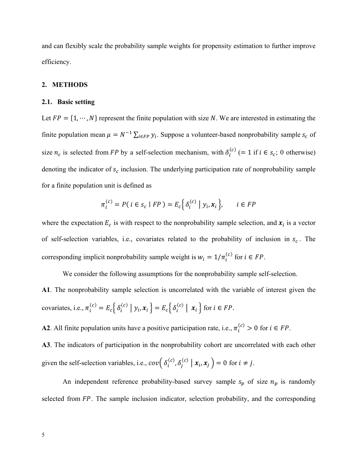and can flexibly scale the probability sample weights for propensity estimation to further improve efficiency.

#### **2. METHODS**

#### **2.1. Basic setting**

Let  $FP = \{1, \dots, N\}$  represent the finite population with size N. We are interested in estimating the finite population mean  $\mu = N^{-1} \sum_{i \in FP} y_i$ . Suppose a volunteer-based nonprobability sample  $s_c$  of size  $n_c$  is selected from FP by a self-selection mechanism, with  $\delta_i^{(c)}$  (= 1 if  $i \in s_c$ ; 0 otherwise) denoting the indicator of  $s_c$  inclusion. The underlying participation rate of nonprobability sample for a finite population unit is defined as

$$
\pi_i^{(c)} = P(i \in s_c | FP) = E_c \Big\{ \delta_i^{(c)} | y_i, x_i \Big\}, \qquad i \in FP
$$

where the expectation  $E_c$  is with respect to the nonprobability sample selection, and  $x_i$  is a vector of self-selection variables, i.e., covariates related to the probability of inclusion in  $s_c$ . The corresponding implicit nonprobability sample weight is  $w_i = 1/\pi_i^{(c)}$  for  $i \in FP$ .

We consider the following assumptions for the nonprobability sample self-selection.

**A1**. The nonprobability sample selection is uncorrelated with the variable of interest given the covariates, i.e.,  $\pi_i^{(c)} = E_c \left\{ \delta_i^{(c)} \mid y_i, x_i \right\} = E_c \left\{ \delta_i^{(c)} \mid x_i \right\}$  for  $i \in FP$ .

**A2**. All finite population units have a positive participation rate, i.e.,  $\pi_i^{(c)} > 0$  for  $i \in FP$ .

**A3**. The indicators of participation in the nonprobability cohort are uncorrelated with each other given the self-selection variables, i.e.,  $cov(\delta_i^{(c)}, \delta_j^{(c)} | x_i, x_j) = 0$  for  $i \neq j$ .

An independent reference probability-based survey sample  $s_p$  of size  $n_p$  is randomly selected from  $FP$ . The sample inclusion indicator, selection probability, and the corresponding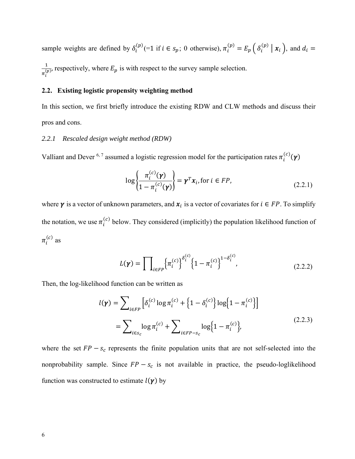sample weights are defined by  $\delta_i^{(p)}(=1 \text{ if } i \in s_p; 0 \text{ otherwise}), \pi_i^{(p)} = E_p\left(\delta_i^{(p)} \mid \mathbf{x}_i\right)$ , and  $d_i =$ 

 $\mathbf 1$  $\pi_i$  $\frac{1}{(p)}$ , respectively, where  $E_p$  is with respect to the survey sample selection.

### **2.2. Existing logistic propensity weighting method**

In this section, we first briefly introduce the existing RDW and CLW methods and discuss their pros and cons.

#### *2.2.1 Rescaled design weight method (RDW)*

Valliant and Dever <sup>6, 7</sup> assumed a logistic regression model for the participation rates  $\pi_i^{(c)}(\gamma)$ 

$$
\log \left\{ \frac{\pi_i^{(c)}(\boldsymbol{\gamma})}{1 - \pi_i^{(c)}(\boldsymbol{\gamma})} \right\} = \boldsymbol{\gamma}^T \boldsymbol{x}_i, \text{ for } i \in FP,
$$
\n(2.2.1)

where  $\gamma$  is a vector of unknown parameters, and  $x_i$  is a vector of covariates for  $i \in FP$ . To simplify the notation, we use  $\pi_i^{(c)}$  below. They considered (implicitly) the population likelihood function of  $\pi_i^{(c)}$  as

$$
L(\gamma) = \prod_{i \in FP} \left\{ \pi_i^{(c)} \right\}^{\delta_i^{(c)}} \left\{ 1 - \pi_i^{(c)} \right\}^{1 - \delta_i^{(c)}},\tag{2.2.2}
$$

Then, the log-likelihood function can be written as

$$
l(\gamma) = \sum_{i \in FP} \left[ \delta_i^{(c)} \log \pi_i^{(c)} + \left\{ 1 - \delta_i^{(c)} \right\} \log \left\{ 1 - \pi_i^{(c)} \right\} \right]
$$
  
= 
$$
\sum_{i \in s_c} \log \pi_i^{(c)} + \sum_{i \in FP - s_c} \log \left\{ 1 - \pi_i^{(c)} \right\},
$$
 (2.2.3)

where the set  $FP - s_c$  represents the finite population units that are not self-selected into the nonprobability sample. Since  $FP - s_c$  is not available in practice, the pseudo-loglikelihood function was constructed to estimate  $l(\gamma)$  by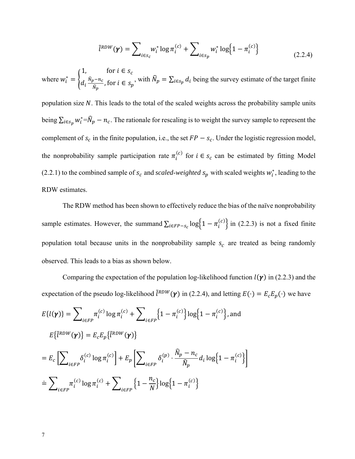$$
\tilde{l}^{RDW}(\gamma) = \sum_{i \in s_c} w_i^* \log \pi_i^{(c)} + \sum_{i \in s_p} w_i^* \log \left\{ 1 - \pi_i^{(c)} \right\}
$$
\n(2.2.4)

where  $w_i^* = \begin{cases} 1, & \text{for } i \in s_c \\ d, & \text{for } i \in s \end{cases}$  $d_i \frac{\widehat{N}_p - n_c}{\widehat{N}}$  $\widehat{N}_p$ , for  $i \in s_p$ , with  $\widehat{N}_p = \sum_{i \in s_p} d_i$  being the survey estimate of the target finite

population size  $N$ . This leads to the total of the scaled weights across the probability sample units being  $\sum_{i \in s_p} w_i^* = \widehat{N}_p - n_c$ . The rationale for rescaling is to weight the survey sample to represent the complement of  $s_c$  in the finite population, i.e., the set  $FP - s_c$ . Under the logistic regression model, the nonprobability sample participation rate  $\pi_i^{(c)}$  for  $i \in s_c$  can be estimated by fitting Model (2.2.1) to the combined sample of  $s_c$  and *scaled-weighted*  $s_p$  with scaled weights  $w_i^*$ , leading to the RDW estimates.

The RDW method has been shown to effectively reduce the bias of the naïve nonprobability sample estimates. However, the summand  $\sum_{i \in FP-s_c} \log(1 - \pi_i^{(c)})$  in (2.2.3) is not a fixed finite population total because units in the nonprobability sample  $s_c$  are treated as being randomly observed. This leads to a bias as shown below.

Comparing the expectation of the population log-likelihood function  $l(\gamma)$  in (2.2.3) and the expectation of the pseudo log-likelihood  $\tilde{l}^{RDW}(\gamma)$  in (2.2.4), and letting  $E(\cdot) = E_c E_p(\cdot)$  we have

$$
E\{l(\boldsymbol{\gamma})\} = \sum_{i \in FP} \pi_i^{(c)} \log \pi_i^{(c)} + \sum_{i \in FP} \{1 - \pi_i^{(c)}\} \log \{1 - \pi_i^{(c)}\},
$$
and  

$$
E\{\tilde{l}^{RDW}(\boldsymbol{\gamma})\} = E_c E_p \{\tilde{l}^{RDW}(\boldsymbol{\gamma})\}
$$

$$
= E_c \left[ \sum_{i \in FP} \delta_i^{(c)} \log \pi_i^{(c)} \right] + E_p \left[ \sum_{i \in FP} \delta_i^{(p)} \cdot \frac{\tilde{N}_p - n_c}{\tilde{N}_p} d_i \log \{1 - \pi_i^{(c)}\} \right]
$$

$$
\approx \sum_{i \in FP} \pi_i^{(c)} \log \pi_i^{(c)} + \sum_{i \in FP} \{1 - \frac{n_c}{N}\} \log \{1 - \pi_i^{(c)}\}
$$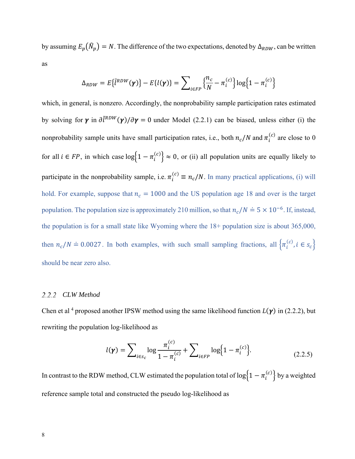by assuming  $E_p(\widehat{N}_p) = N$ . The difference of the two expectations, denoted by  $\Delta_{RDW}$ , can be written as

$$
\Delta_{RDW} = E\{\tilde{l}^{RDW}(\gamma)\} - E\{l(\gamma)\} = \sum_{i \in FP} \left\{\frac{n_c}{N} - \pi_i^{(c)}\right\} \log\left\{1 - \pi_i^{(c)}\right\}
$$

which, in general, is nonzero. Accordingly, the nonprobability sample participation rates estimated by solving for  $\gamma$  in  $\partial \tilde{l}^{RDW}(\gamma)/\partial \gamma = 0$  under Model (2.2.1) can be biased, unless either (i) the nonprobability sample units have small participation rates, i.e., both  $n_c/N$  and  $\pi_i^{(c)}$  are close to 0 for all  $i \in FP$ , in which case  $log(1 - \pi_i^{(c)}) \approx 0$ , or (ii) all population units are equally likely to participate in the nonprobability sample, i.e.  $\pi_i^{(c)} \equiv n_c/N$ . In many practical applications, (i) will hold. For example, suppose that  $n_c = 1000$  and the US population age 18 and over is the target population. The population size is approximately 210 million, so that  $n_c/N \doteq 5 \times 10^{-6}$ . If, instead, the population is for a small state like Wyoming where the 18+ population size is about 365,000, then  $n_c/N \doteq 0.0027$ . In both examples, with such small sampling fractions, all  $\left\{ \pi_i^{(c)}, i \in s_c \right\}$ should be near zero also.

#### *CLW Method*  $2.2.2$

Chen et al <sup>4</sup> proposed another IPSW method using the same likelihood function  $L(\gamma)$  in (2.2.2), but rewriting the population log-likelihood as

$$
l(\gamma) = \sum_{i \in s_c} \log \frac{\pi_i^{(c)}}{1 - \pi_i^{(c)}} + \sum_{i \in FP} \log \left\{ 1 - \pi_i^{(c)} \right\}.
$$
 (2.2.5)

In contrast to the RDW method, CLW estimated the population total of log $\left\{1-\pi_i^{(c)}\right\}$  by a weighted reference sample total and constructed the pseudo log-likelihood as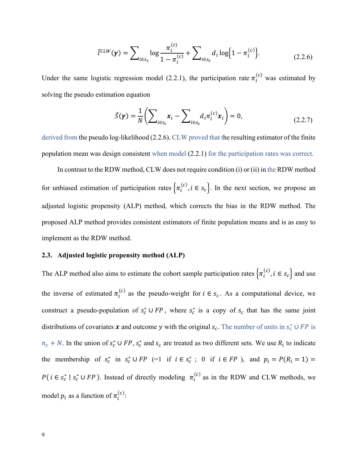$$
\tilde{l}^{CLW}(\gamma) = \sum_{i \in s_c} \log \frac{\pi_i^{(c)}}{1 - \pi_i^{(c)}} + \sum_{i \in s_s} d_i \log \left\{ 1 - \pi_i^{(c)} \right\}.
$$
\n(2.2.6)

Under the same logistic regression model (2.2.1), the participation rate  $\pi_i^{(c)}$  was estimated by solving the pseudo estimation equation

$$
\tilde{S}(\gamma) = \frac{1}{N} \left( \sum_{i \in s_c} x_i - \sum_{i \in s_s} d_i \pi_i^{(c)} x_i \right) = 0,
$$
\n(2.2.7)

derived from the pseudo log-likelihood (2.2.6). CLW proved that the resulting estimator of the finite population mean was design consistent when model (2.2.1) for the participation rates was correct.

In contrast to the RDW method, CLW does not require condition (i) or (ii) in the RDW method for unbiased estimation of participation rates  $\{\pi_i^{(c)}, i \in s_c\}$ . In the next section, we propose an adjusted logistic propensity (ALP) method, which corrects the bias in the RDW method. The proposed ALP method provides consistent estimators of finite population means and is as easy to implement as the RDW method.

#### **2.3. Adjusted logistic propensity method (ALP)**

The ALP method also aims to estimate the cohort sample participation rates  $\{\pi_i^{(c)}, i \in s_c\}$  and use the inverse of estimated  $\pi_i^{(c)}$  as the pseudo-weight for  $i \in s_c$ . As a computational device, we construct a pseudo-population of  $s_c^* \cup FP$ , where  $s_c^*$  is a copy of  $s_c$  that has the same joint distributions of covariates x and outcome y with the original  $s_c$ . The number of units in  $s_c^* \cup FP$  is  $n_c + N$ . In the union of  $s_c^* \cup FP$ ,  $s_c^*$  and  $s_c$  are treated as two different sets. We use  $R_i$  to indicate the membership of  $s_c^*$  in  $s_c^* \cup FP$  (=1 if  $i \in s_c^*$ ; 0 if  $i \in FP$ ), and  $p_i = P(R_i = 1)$  $P(i \in s_c^* \mid s_c^* \cup FP)$ . Instead of directly modeling  $\pi_i^{(c)}$  as in the RDW and CLW methods, we model  $p_i$  as a function of  $\pi_i^{(c)}$ :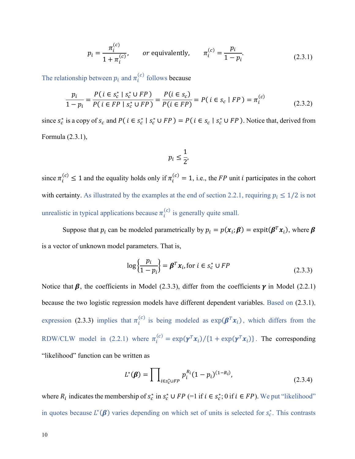$$
p_i = \frac{\pi_i^{(c)}}{1 + \pi_i^{(c)}},
$$
 or equivalently,  $\pi_i^{(c)} = \frac{p_i}{1 - p_i}.$  (2.3.1)

The relationship between  $p_i$  and  $\pi_i^{(c)}$  follows because

$$
\frac{p_i}{1 - p_i} = \frac{P(i \in s_c^* \mid s_c^* \cup FP)}{P(i \in FP \mid s_c^* \cup FP)} = \frac{P(i \in s_c)}{P(i \in FP)} = P(i \in s_c \mid FP) = \pi_i^{(c)}
$$
(2.3.2)

since  $s_c^*$  is a copy of  $s_c$  and  $P(i \in s_c^* \mid s_c^* \cup FP) = P(i \in s_c \mid s_c^* \cup FP)$ . Notice that, derived from Formula (2.3.1),

$$
p_i \leq \frac{1}{2},
$$

since  $\pi_i^{(c)} \le 1$  and the equality holds only if  $\pi_i^{(c)} = 1$ , i.e., the FP unit *i* participates in the cohort with certainty. As illustrated by the examples at the end of section 2.2.1, requiring  $p_i \leq 1/2$  is not unrealistic in typical applications because  $\pi_i^{(c)}$  is generally quite small.

Suppose that  $p_i$  can be modeled parametrically by  $p_i = p(x_i; \boldsymbol{\beta}) = \text{expit}(\boldsymbol{\beta}^T x_i)$ , where  $\boldsymbol{\beta}$ is a vector of unknown model parameters. That is,

$$
\log\left\{\frac{p_i}{1-p_i}\right\} = \boldsymbol{\beta}^T \boldsymbol{x}_i, \text{ for } i \in s_c^* \cup FP
$$
\n(2.3.3)

Notice that  $\beta$ , the coefficients in Model (2.3.3), differ from the coefficients  $\gamma$  in Model (2.2.1) because the two logistic regression models have different dependent variables. Based on (2.3.1), expression (2.3.3) implies that  $\pi_i^{(c)}$  is being modeled as  $\exp(\beta^T x_i)$ , which differs from the RDW/CLW model in (2.2.1) where  $\pi_i^{(c)} = \exp(\gamma^T x_i)/\{1 + \exp(\gamma^T x_i)\}\.$  The corresponding "likelihood" function can be written as

$$
L^*(\beta) = \prod_{i \in s_c^* \cup FP} p_i^{R_i} (1 - p_i)^{(1 - R_i)},
$$
\n(2.3.4)

where  $R_i$  indicates the membership of  $s_c^*$  in  $s_c^* \cup FP$  (=1 if  $i \in s_c^*$ ; 0 if  $i \in FP$ ). We put "likelihood" in quotes because  $L^*(\beta)$  varies depending on which set of units is selected for  $s_c^*$ . This contrasts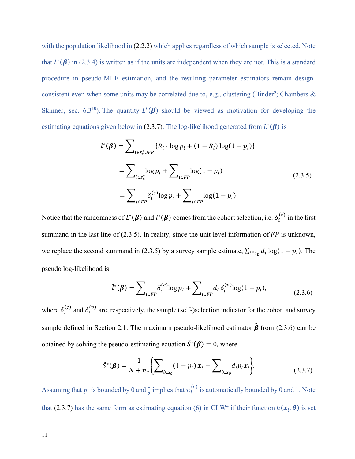with the population likelihood in (2.2.2) which applies regardless of which sample is selected. Note that  $L^*(\beta)$  in (2.3.4) is written as if the units are independent when they are not. This is a standard procedure in pseudo-MLE estimation, and the resulting parameter estimators remain designconsistent even when some units may be correlated due to, e.g., clustering (Binder<sup>9</sup>; Chambers  $\&$ Skinner, sec. 6.3<sup>10</sup>). The quantity  $L^*(\beta)$  should be viewed as motivation for developing the estimating equations given below in (2.3.7). The log-likelihood generated from  $L^*(\beta)$  is

$$
l^*(\beta) = \sum_{i \in s_c^* \cup FP} \{R_i \cdot \log p_i + (1 - R_i) \log(1 - p_i)\}
$$
  
= 
$$
\sum_{i \in s_c^*} \log p_i + \sum_{i \in FP} \log(1 - p_i)
$$
  
= 
$$
\sum_{i \in FP} \delta_i^{(c)} \log p_i + \sum_{i \in FP} \log(1 - p_i)
$$
 (2.3.5)

Notice that the randomness of  $L^*(\beta)$  and  $l^*(\beta)$  comes from the cohort selection, i.e.  $\delta_i^{(c)}$  in the first summand in the last line of  $(2.3.5)$ . In reality, since the unit level information of  $FP$  is unknown, we replace the second summand in (2.3.5) by a survey sample estimate,  $\sum_{i \in s_p} d_i \log(1 - p_i)$ . The pseudo log-likelihood is

$$
\tilde{l}^*(\boldsymbol{\beta}) = \sum_{i \in FP} \delta_i^{(c)} \log p_i + \sum_{i \in FP} d_i \delta_i^{(p)} \log(1 - p_i), \qquad (2.3.6)
$$

where  $\delta_i^{(c)}$  and  $\delta_i^{(p)}$  are, respectively, the sample (self-)selection indicator for the cohort and survey sample defined in Section 2.1. The maximum pseudo-likelihood estimator  $\hat{\beta}$  from (2.3.6) can be obtained by solving the pseudo-estimating equation  $\tilde{S}^*(\beta) = 0$ , where

$$
\tilde{S}^*(\boldsymbol{\beta}) = \frac{1}{N + n_c} \Biggl\{ \sum_{i \in s_c} (1 - p_i) x_i - \sum_{i \in s_p} d_i p_i x_i \Biggr\}.
$$
\n(2.3.7)

Assuming that  $p_i$  is bounded by 0 and  $\frac{1}{2}$  implies that  $\pi_i^{(c)}$  is automatically bounded by 0 and 1. Note that (2.3.7) has the same form as estimating equation (6) in CLW<sup>4</sup> if their function  $h(x_i, \theta)$  is set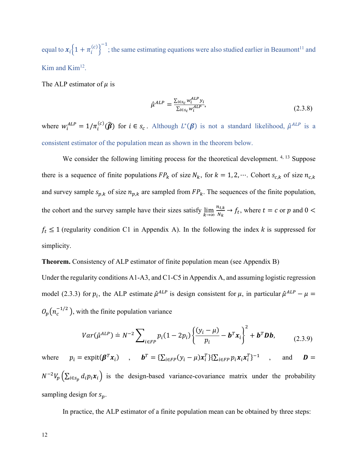equal to  $x_i\left\{1+\pi_i^{(c)}\right\}^{-1}$ ; the same estimating equations were also studied earlier in Beaumont<sup>11</sup> and Kim and Kim<sup>12</sup>.

The ALP estimator of  $\mu$  is

$$
\hat{\mu}^{ALP} = \frac{\sum_{i \in s_c} w_i^{ALP} y_i}{\sum_{i \in s_c} w_i^{ALP}},\tag{2.3.8}
$$

where  $w_i^{ALP} = 1/\pi_i^{(c)}(\hat{\beta})$  for  $i \in s_c$ . Although  $L^*(\beta)$  is not a standard likelihood,  $\hat{\mu}^{ALP}$  is a consistent estimator of the population mean as shown in the theorem below.

We consider the following limiting process for the theoretical development. <sup>4, 13</sup> Suppose there is a sequence of finite populations  $FP_k$  of size  $N_k$ , for  $k = 1, 2, \dots$ . Cohort  $s_{c,k}$  of size  $n_{c,k}$ and survey sample  $s_{p,k}$  of size  $n_{p,k}$  are sampled from  $FP_k$ . The sequences of the finite population, the cohort and the survey sample have their sizes satisfy  $\lim_{k\to\infty}$  $n_{t,k}$  $\frac{v_{t,k}}{N_k} \rightarrow f_t$ , where  $t = c$  or p and  $0 <$  $f_t \leq 1$  (regularity condition C1 in Appendix A). In the following the index k is suppressed for simplicity.

**Theorem.** Consistency of ALP estimator of finite population mean (see Appendix B)

Under the regularity conditions A1-A3, and C1-C5 in Appendix A, and assuming logistic regression model (2.3.3) for  $p_i$ , the ALP estimate  $\hat{\mu}^{ALP}$  is design consistent for  $\mu$ , in particular  $\hat{\mu}^{ALP} - \mu =$  $O_p(n_c^{-1/2})$ , with the finite population variance

$$
Var(\hat{\mu}^{ALP}) \doteq N^{-2} \sum_{i \in FP} p_i (1 - 2p_i) \left\{ \frac{(y_i - \mu)}{p_i} - \bm{b}^T \bm{x}_i \right\}^2 + \bm{b}^T \bm{D} \bm{b},
$$
 (2.3.9)

where  $p_i = \text{expit}(\boldsymbol{\beta}^T \boldsymbol{x}_i)$ ,  $\boldsymbol{b}^T = \{\sum_{i \in FP} (y_i - \mu) \boldsymbol{x}_i^T\} \{\sum_{i \in FP} p_i \boldsymbol{x}_i \boldsymbol{x}_i^T\}^{-1}$ , and  $\boldsymbol{D} =$  $N^{-2}V_p\left(\sum_{i\in s_p}d_ip_i\mathbf{x}_i\right)$  is the design-based variance-covariance matrix under the probability sampling design for  $s_p$ .

In practice, the ALP estimator of a finite population mean can be obtained by three steps: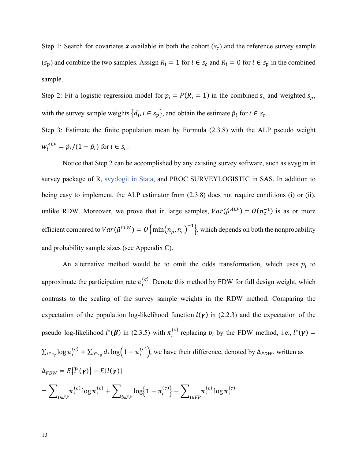Step 1: Search for covariates x available in both the cohort  $(s_c)$  and the reference survey sample  $(s_p)$  and combine the two samples. Assign  $R_i = 1$  for  $i \in s_c$  and  $R_i = 0$  for  $i \in s_p$  in the combined sample.

Step 2: Fit a logistic regression model for  $p_i = P(R_i = 1)$  in the combined  $s_c$  and weighted  $s_p$ , with the survey sample weights  $\{d_i, i \in s_p\}$ , and obtain the estimate  $\hat{p}_i$  for  $i \in s_c$ .

Step 3: Estimate the finite population mean by Formula (2.3.8) with the ALP pseudo weight  $w_i^{ALP} = \hat{p}_i / (1 - \hat{p}_i)$  for  $i \in s_c$ .

Notice that Step 2 can be accomplished by any existing survey software, such as svyglm in survey package of R, svy:logit in Stata, and PROC SURVEYLOGISTIC in SAS. In addition to being easy to implement, the ALP estimator from (2.3.8) does not require conditions (i) or (ii), unlike RDW. Moreover, we prove that in large samples,  $Var(\hat{\mu}^{ALP}) = O(n_c^{-1})$  is as or more efficient compared to  $Var(\hat{\mu}^{CLW}) = O\left\{\min(n_p, n_c)^{-1}\right\}$ , which depends on both the nonprobability and probability sample sizes (see Appendix C).

An alternative method would be to omit the odds transformation, which uses  $p_i$  to approximate the participation rate  $\pi_i^{(c)}$ . Denote this method by FDW for full design weight, which contrasts to the scaling of the survey sample weights in the RDW method. Comparing the expectation of the population log-likelihood function  $l(\gamma)$  in (2.2.3) and the expectation of the pseudo log-likelihood  $\tilde{l}^*(\beta)$  in (2.3.5) with  $\pi_i^{(c)}$  replacing  $p_i$  by the FDW method, i.e.,  $\tilde{l}^*(\gamma)$  =  $\sum_{i \in s_c} \log \pi_i^{(c)} + \sum_{i \in s_p} d_i \log \left(1 - \pi_i^{(c)}\right)$ , we have their difference, denoted by  $\Delta_{FDW}$ , written as  $\Delta_{FDW} = E\{\tilde{l}^*(\boldsymbol{\gamma})\} - E\{l(\boldsymbol{\gamma})\}$ 

$$
= \sum_{i \in FP} \pi_i^{(c)} \log \pi_i^{(c)} + \sum_{i \in FP} \log \left\{ 1 - \pi_i^{(c)} \right\} - \sum_{i \in FP} \pi_i^{(c)} \log \pi_i^{(c)}
$$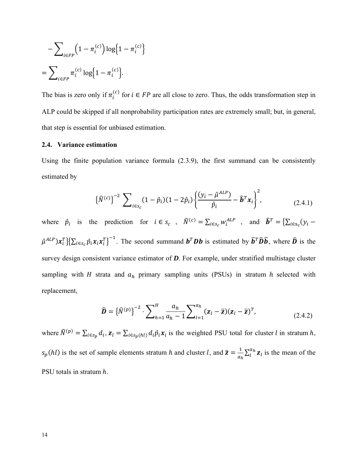$$
-\sum_{i \in FP} \left(1 - \pi_i^{(c)}\right) \log\left\{1 - \pi_i^{(c)}\right\}
$$

$$
= \sum_{i \in FP} \pi_i^{(c)} \log\left\{1 - \pi_i^{(c)}\right\}.
$$

The bias is zero only if  $\pi_i^{(c)}$  for  $i \in FP$  are all close to zero. Thus, the odds transformation step in ALP could be skipped if all nonprobability participation rates are extremely small; but, in general, that step is essential for unbiased estimation.

#### **2.4. Variance estimation**

Using the finite population variance formula (2.3.9), the first summand can be consistently estimated by

$$
\{\widehat{N}^{(c)}\}^{-2} \sum_{i \in s_c} (1 - \hat{p}_i)(1 - 2\hat{p}_i) \left\{ \frac{(y_i - \hat{\mu}^{ALP})}{\hat{p}_i} - \widehat{b}^T x_i \right\}^2, \tag{2.4.1}
$$

where  $\hat{p}_i$  is the prediction for  $i \in s_c$ ,  $\hat{N}^{(c)} = \sum_{i \in s_c} w_i^{ALP}$ , and  $\hat{b}^T = \sum_{i \in s_c} (y_i \hat{\mu}^{ALP})\mathbf{x}_{i}^{T}\}\left\{\sum_{i\in s_{c}}\hat{p}_{i}\mathbf{x}_{i}\mathbf{x}_{i}^{T}\right\}^{-1}$ . The second summand  $\mathbf{b}^{T}\mathbf{D}\mathbf{b}$  is estimated by  $\hat{\mathbf{b}}^{T}\hat{\mathbf{D}}\hat{\mathbf{b}}$ , where  $\hat{\mathbf{D}}$  is the survey design consistent variance estimator of *D*. For example, under stratified multistage cluster sampling with  $H$  strata and  $a_h$  primary sampling units (PSUs) in stratum  $h$  selected with replacement,

$$
\widehat{\mathbf{D}} = \left\{ \widehat{N}^{(p)} \right\}^{-2} \cdot \sum\nolimits_{h=1}^{H} \frac{a_h}{a_h - 1} \sum\nolimits_{l=1}^{a_h} (\mathbf{z}_l - \overline{\mathbf{z}}) (\mathbf{z}_l - \overline{\mathbf{z}})^T, \tag{2.4.2}
$$

where  $\widehat{N}^{(p)} = \sum_{i \in s_p} d_i$ ,  $\mathbf{z}_i = \sum_{i \in s_p(h)} d_i \widehat{p}_i \mathbf{x}_i$  is the weighted PSU total for cluster l in stratum h,  $s_p(hl)$  is the set of sample elements stratum h and cluster l, and  $\bar{z} = \frac{1}{a_h} \sum_{l=1}^{a_h} z_l$  is the mean of the PSU totals in stratum  $h$ .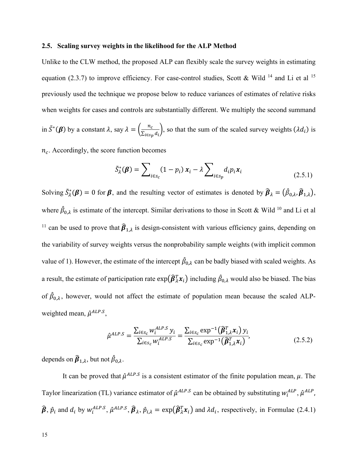#### **2.5. Scaling survey weights in the likelihood for the ALP Method**

Unlike to the CLW method, the proposed ALP can flexibly scale the survey weights in estimating equation (2.3.7) to improve efficiency. For case-control studies, Scott & Wild <sup>14</sup> and Li et al <sup>15</sup> previously used the technique we propose below to reduce variances of estimates of relative risks when weights for cases and controls are substantially different. We multiply the second summand in  $\tilde{S}^*(\boldsymbol{\beta})$  by a constant  $\lambda$ , say  $\lambda = \left(\frac{n_c}{n_s}\right)$  $\frac{n_c}{\sum_{i \in sp} d_i}$ , so that the sum of the scaled survey weights  $(\lambda d_i)$  is

 $n_c$ . Accordingly, the score function becomes

$$
\tilde{S}_{\lambda}^{*}(\boldsymbol{\beta}) = \sum_{i \in s_c} (1 - p_i) \, x_i - \lambda \sum_{i \in s_p} d_i p_i x_i \tag{2.5.1}
$$

Solving  $\tilde{S}_{\lambda}^*(\beta) = 0$  for  $\beta$ , and the resulting vector of estimates is denoted by  $\hat{\beta}_{\lambda} = (\hat{\beta}_{0,\lambda}, \hat{\beta}_{1,\lambda}),$ where  $\hat{\beta}_{0,\lambda}$  is estimate of the intercept. Similar derivations to those in Scott & Wild <sup>10</sup> and Li et al <sup>11</sup> can be used to prove that  $\hat{\beta}_{1,\lambda}$  is design-consistent with various efficiency gains, depending on the variability of survey weights versus the nonprobability sample weights (with implicit common value of 1). However, the estimate of the intercept  $\hat{\beta}_{0,\lambda}$  can be badly biased with scaled weights. As a result, the estimate of participation rate  $\exp(\widehat{\bm{\beta}}_{{\lambda}}^T{\bm{x}}_i)$  including  $\hat{\beta}_{0,{\lambda}}$  would also be biased. The bias of  $\hat{\beta}_{0,\lambda}$ , however, would not affect the estimate of population mean because the scaled ALPweighted mean,  $\hat{\mu}^{ALP.S.}$ ,

$$
\hat{\mu}^{ALP.S} = \frac{\sum_{i \in S_c} w_i^{ALP.S} y_i}{\sum_{i \in S_c} w_i^{ALP.S}} = \frac{\sum_{i \in S_c} \exp^{-1}(\hat{\beta}_{1,\lambda}^T x_i) y_i}{\sum_{i \in S_c} \exp^{-1}(\hat{\beta}_{1,\lambda}^T x_i)},
$$
(2.5.2)

depends on  $\widehat{\boldsymbol{\beta}}_{1,\lambda}$ , but not  $\hat{\beta}_{0,\lambda}$ .

It can be proved that  $\hat{\mu}^{ALP.S}$  is a consistent estimator of the finite population mean,  $\mu$ . The Taylor linearization (TL) variance estimator of  $\hat{\mu}^{ALP.S}$  can be obtained by substituting  $w_i^{ALP}$ ,  $\hat{\mu}^{ALP}$ ,  $\hat{\beta}$ ,  $\hat{p}_i$  and  $d_i$  by  $w_i^{ALP.S}$ ,  $\hat{\mu}^{ALP.S}$ ,  $\hat{\beta}_\lambda$ ,  $\hat{p}_{i,\lambda} = \exp(\hat{\beta}_\lambda^T x_i)$  and  $\lambda d_i$ , respectively, in Formulae (2.4.1)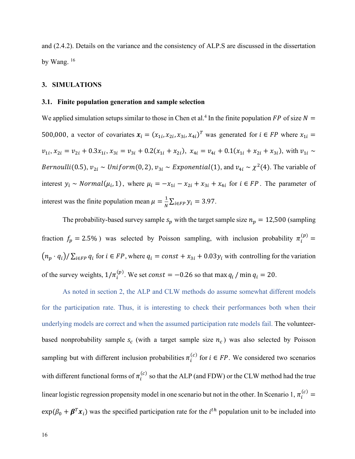and (2.4.2). Details on the variance and the consistency of ALP.S are discussed in the dissertation by Wang.  $16$ 

#### **3. SIMULATIONS**

#### **3.1. Finite population generation and sample selection**

We applied simulation setups similar to those in Chen et al.<sup>4</sup> In the finite population FP of size  $N =$ 500,000, a vector of covariates  $x_i = (x_{1i}, x_{2i}, x_{3i}, x_{4i})^T$  was generated for  $i \in FP$  where  $x_{1i} =$  $v_{1i}$ ,  $x_{2i} = v_{2i} + 0.3x_{1i}$ ,  $x_{3i} = v_{3i} + 0.2(x_{1i} + x_{2i})$ ,  $x_{4i} = v_{4i} + 0.1(x_{1i} + x_{2i} + x_{3i})$ , with  $v_{1i} \sim$ *Bernoulli*(0.5),  $v_{2i} \sim Uniform(0, 2)$ ,  $v_{3i} \sim Exponential(1)$ , and  $v_{4i} \sim \chi^2(4)$ . The variable of interest  $y_i \sim Normal(\mu_i, 1)$ , where  $\mu_i = -x_{1i} - x_{2i} + x_{3i} + x_{4i}$  for  $i \in FP$ . The parameter of interest was the finite population mean  $\mu = \frac{1}{N} \sum_{i \in FP} y_i = 3.97$ .

The probability-based survey sample  $s_p$  with the target sample size  $n_p = 12,500$  (sampling fraction  $f_p = 2.5\%$ ) was selected by Poisson sampling, with inclusion probability  $\pi_i^{(p)} =$  $(n_p \cdot q_i)/\sum_{i \in FP} q_i$  for  $i \in FP$ , where  $q_i = const + x_{3i} + 0.03y_i$  with controlling for the variation of the survey weights,  $1/\pi_i^{(p)}$ . We set *const* = -0.26 so that max  $q_i$  / min  $q_i$  = 20.

As noted in section 2, the ALP and CLW methods do assume somewhat different models for the participation rate. Thus, it is interesting to check their performances both when their underlying models are correct and when the assumed participation rate models fail. The volunteerbased nonprobability sample  $s_c$  (with a target sample size  $n_c$ ) was also selected by Poisson sampling but with different inclusion probabilities  $\pi_i^{(c)}$  for  $i \in FP$ . We considered two scenarios with different functional forms of  $\pi_i^{(c)}$  so that the ALP (and FDW) or the CLW method had the true linear logistic regression propensity model in one scenario but not in the other. In Scenario 1,  $\pi_i^{(c)}$  =  $exp(\beta_0 + \beta^T x_i)$  was the specified participation rate for the *i*<sup>th</sup> population unit to be included into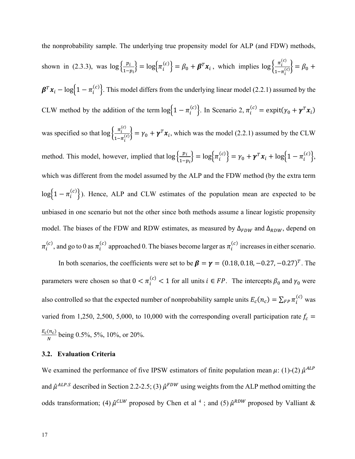the nonprobability sample. The underlying true propensity model for ALP (and FDW) methods, shown in (2.3.3), was  $\log\left\{\frac{p_i}{1-p_i}\right\} = \log\left\{\pi_i^{(c)}\right\} = \beta_0 + \boldsymbol{\beta}^T \boldsymbol{x}_i$ , which implies  $\log\left\{\frac{\pi_i^{(c)}}{1-\pi_i^{(c)}}\right\}$  $\frac{n_i}{1-\pi_i^{(c)}} = \beta_0 +$  $\beta^T x_i - \log(1 - \pi_i^{(c)})$ . This model differs from the underlying linear model (2.2.1) assumed by the CLW method by the addition of the term  $log(1 - \pi_i^{(c)})$ . In Scenario 2,  $\pi_i^{(c)} = expit(\gamma_0 + \gamma^T x_i)$ was specified so that  $\log \left\{\frac{\pi_i^{(c)}}{a}\right\}$  $\left\{\frac{\pi_i}{1-\pi_i^{(c)}}\right\} = \gamma_0 + \gamma^T x_i$ , which was the model (2.2.1) assumed by the CLW method. This model, however, implied that  $\log \left\{ \frac{p_i}{1 - p_i} \right\} = \log \left\{ \pi_i^{(c)} \right\} = \gamma_0 + \gamma^T x_i + \log \left\{ 1 - \pi_i^{(c)} \right\},\$ which was different from the model assumed by the ALP and the FDW method (by the extra term  $log(1 - \pi_i^{(c)})$ . Hence, ALP and CLW estimates of the population mean are expected to be unbiased in one scenario but not the other since both methods assume a linear logistic propensity model. The biases of the FDW and RDW estimates, as measured by  $\Delta_{FDW}$  and  $\Delta_{RDW}$ , depend on  $\pi_i^{(c)}$ , and go to 0 as  $\pi_i^{(c)}$  approached 0. The biases become larger as  $\pi_i^{(c)}$  increases in either scenario. In both scenarios, the coefficients were set to be  $\beta = \gamma = (0.18, 0.18, -0.27, -0.27)^T$ . The parameters were chosen so that  $0 < \pi_i^{(c)} < 1$  for all units  $i \in FP$ . The intercepts  $\beta_0$  and  $\gamma_0$  were

also controlled so that the expected number of nonprobability sample units  $E_c(n_c) = \sum_{FP} \pi_i^{(c)}$  was varied from 1,250, 2,500, 5,000, to 10,000 with the corresponding overall participation rate  $f_c$  =  $\frac{E_c(n_c)}{N}$  being 0.5%, 5%, 10%, or 20%.

#### **3.2. Evaluation Criteria**

We examined the performance of five IPSW estimators of finite population mean  $\mu$ : (1)-(2)  $\hat{\mu}^{ALP}$ and  $\hat{\mu}^{ALP.S}$  described in Section 2.2-2.5; (3)  $\hat{\mu}^{FDW}$  using weights from the ALP method omitting the odds transformation; (4)  $\hat{\mu}^{CLW}$  proposed by Chen et al<sup>4</sup>; and (5)  $\hat{\mu}^{RDW}$  proposed by Valliant &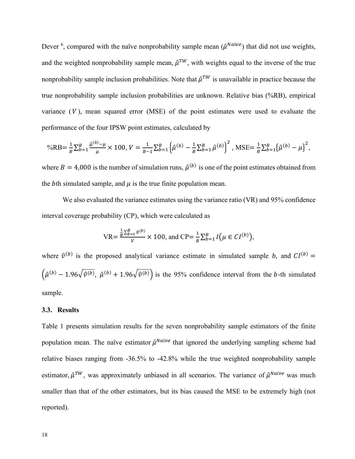Dever <sup>6</sup>, compared with the naïve nonprobability sample mean  $(\hat{\mu}^{Naive})$  that did not use weights, and the weighted nonprobability sample mean,  $\hat{\mu}^{TW}$ , with weights equal to the inverse of the true nonprobability sample inclusion probabilities. Note that  $\hat{\mu}^{TW}$  is unavailable in practice because the true nonprobability sample inclusion probabilities are unknown. Relative bias (%RB), empirical variance  $(V)$ , mean squared error (MSE) of the point estimates were used to evaluate the performance of the four IPSW point estimates, calculated by

$$
\%RB = \frac{1}{B} \sum_{b=1}^{B} \frac{\hat{\mu}^{(b)} - \mu}{\mu} \times 100, V = \frac{1}{B-1} \sum_{b=1}^{B} \left\{ \hat{\mu}^{(b)} - \frac{1}{B} \sum_{b=1}^{B} \hat{\mu}^{(b)} \right\}^{2}, \text{MSE} = \frac{1}{B} \sum_{b=1}^{B} \left\{ \hat{\mu}^{(b)} - \mu \right\}^{2},
$$

where  $B = 4,000$  is the number of simulation runs,  $\hat{\mu}^{(b)}$  is one of the point estimates obtained from the bth simulated sample, and  $\mu$  is the true finite population mean.

We also evaluated the variance estimates using the variance ratio (VR) and 95% confidence interval coverage probability (CP), which were calculated as

$$
VR = \frac{\frac{1}{B}\sum_{b=1}^{B}\hat{v}^{(b)}}{V} \times 100, \text{ and } CP = \frac{1}{B}\sum_{b=1}^{B}I(\mu \in CI^{(b)}),
$$

where  $\hat{v}^{(b)}$  is the proposed analytical variance estimate in simulated sample *b*, and  $CI^{(b)}$  =  $(\hat{\mu}^{(b)} - 1.96\sqrt{\hat{v}^{(b)}}$ ,  $\hat{\mu}^{(b)} + 1.96\sqrt{\hat{v}^{(b)}}$  is the 95% confidence interval from the b-th simulated sample.

#### **3.3. Results**

Table 1 presents simulation results for the seven nonprobability sample estimators of the finite population mean. The naïve estimator  $\hat{\mu}^{Naive}$  that ignored the underlying sampling scheme had relative biases ranging from -36.5% to -42.8% while the true weighted nonprobability sample estimator,  $\hat{\mu}^{TW}$ , was approximately unbiased in all scenarios. The variance of  $\hat{\mu}^{Naive}$  was much smaller than that of the other estimators, but its bias caused the MSE to be extremely high (not reported).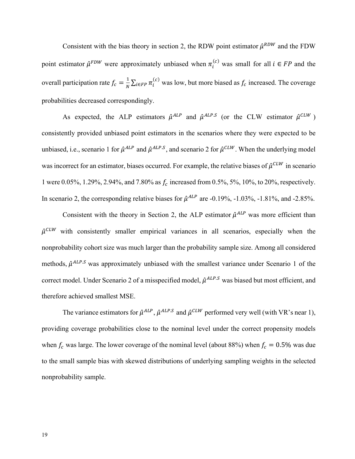Consistent with the bias theory in section 2, the RDW point estimator  $\hat{\mu}^{RDW}$  and the FDW point estimator  $\hat{\mu}^{FDW}$  were approximately unbiased when  $\pi_i^{(c)}$  was small for all  $i \in FP$  and the overall participation rate  $f_c = \frac{1}{N} \sum_{i \in FP} \pi_i^{(c)}$  was low, but more biased as  $f_c$  increased. The coverage probabilities decreased correspondingly.

As expected, the ALP estimators  $\hat{\mu}^{ALP}$  and  $\hat{\mu}^{ALP.S}$  (or the CLW estimator  $\hat{\mu}^{CLW}$ ) consistently provided unbiased point estimators in the scenarios where they were expected to be unbiased, i.e., scenario 1 for  $\hat{\mu}^{ALP}$  and  $\hat{\mu}^{ALP.S}$ , and scenario 2 for  $\hat{\mu}^{CLW}$ . When the underlying model was incorrect for an estimator, biases occurred. For example, the relative biases of  $\hat{\mu}^{CLW}$  in scenario 1 were 0.05%, 1.29%, 2.94%, and 7.80% as  $f_c$  increased from 0.5%, 5%, 10%, to 20%, respectively. In scenario 2, the corresponding relative biases for  $\hat{\mu}^{ALP}$  are -0.19%, -1.03%, -1.81%, and -2.85%.

Consistent with the theory in Section 2, the ALP estimator  $\hat{\mu}^{ALP}$  was more efficient than  $\hat{\mu}^{CLW}$  with consistently smaller empirical variances in all scenarios, especially when the nonprobability cohort size was much larger than the probability sample size. Among all considered methods,  $\hat{\mu}^{ALP.S}$  was approximately unbiased with the smallest variance under Scenario 1 of the correct model. Under Scenario 2 of a misspecified model,  $\hat{\mu}^{ALP.S}$  was biased but most efficient, and therefore achieved smallest MSE.

The variance estimators for  $\hat{\mu}^{ALP}$ ,  $\hat{\mu}^{ALP.S}$  and  $\hat{\mu}^{CLW}$  performed very well (with VR's near 1), providing coverage probabilities close to the nominal level under the correct propensity models when  $f_c$  was large. The lower coverage of the nominal level (about 88%) when  $f_c = 0.5\%$  was due to the small sample bias with skewed distributions of underlying sampling weights in the selected nonprobability sample.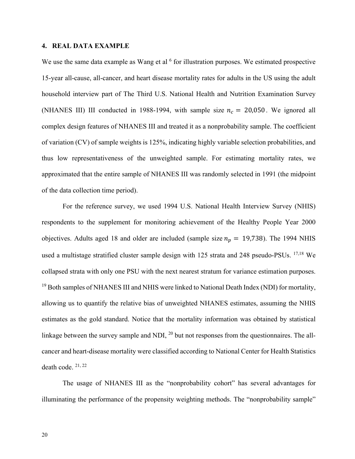#### **4. REAL DATA EXAMPLE**

We use the same data example as Wang et al  $6$  for illustration purposes. We estimated prospective 15-year all-cause, all-cancer, and heart disease mortality rates for adults in the US using the adult household interview part of The Third U.S. National Health and Nutrition Examination Survey (NHANES III) III conducted in 1988-1994, with sample size  $n_c = 20,050$ . We ignored all complex design features of NHANES III and treated it as a nonprobability sample. The coefficient of variation (CV) of sample weights is 125%, indicating highly variable selection probabilities, and thus low representativeness of the unweighted sample. For estimating mortality rates, we approximated that the entire sample of NHANES III was randomly selected in 1991 (the midpoint of the data collection time period).

For the reference survey, we used 1994 U.S. National Health Interview Survey (NHIS) respondents to the supplement for monitoring achievement of the Healthy People Year 2000 objectives. Adults aged 18 and older are included (sample size  $n_p = 19,738$ ). The 1994 NHIS used a multistage stratified cluster sample design with 125 strata and 248 pseudo-PSUs. <sup>17,18</sup> We collapsed strata with only one PSU with the next nearest stratum for variance estimation purposes. <sup>19</sup> Both samples of NHANES III and NHIS were linked to National Death Index (NDI) for mortality, allowing us to quantify the relative bias of unweighted NHANES estimates, assuming the NHIS estimates as the gold standard. Notice that the mortality information was obtained by statistical linkage between the survey sample and NDI, <sup>20</sup> but not responses from the questionnaires. The allcancer and heart-disease mortality were classified according to National Center for Health Statistics death code. 21, 22

The usage of NHANES III as the "nonprobability cohort" has several advantages for illuminating the performance of the propensity weighting methods. The "nonprobability sample"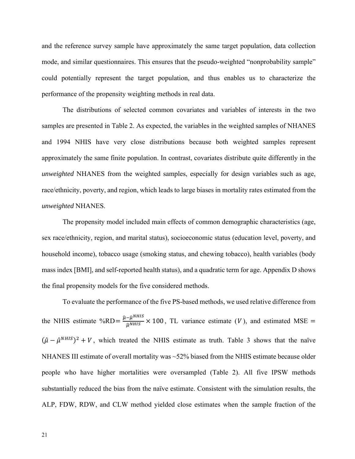and the reference survey sample have approximately the same target population, data collection mode, and similar questionnaires. This ensures that the pseudo-weighted "nonprobability sample" could potentially represent the target population, and thus enables us to characterize the performance of the propensity weighting methods in real data.

The distributions of selected common covariates and variables of interests in the two samples are presented in Table 2. As expected, the variables in the weighted samples of NHANES and 1994 NHIS have very close distributions because both weighted samples represent approximately the same finite population. In contrast, covariates distribute quite differently in the *unweighted* NHANES from the weighted samples, especially for design variables such as age, race/ethnicity, poverty, and region, which leads to large biases in mortality rates estimated from the *unweighted* NHANES.

The propensity model included main effects of common demographic characteristics (age, sex race/ethnicity, region, and marital status), socioeconomic status (education level, poverty, and household income), tobacco usage (smoking status, and chewing tobacco), health variables (body mass index [BMI], and self-reported health status), and a quadratic term for age. Appendix D shows the final propensity models for the five considered methods.

To evaluate the performance of the five PS-based methods, we used relative difference from the NHIS estimate  $\%RD = \frac{\hat{\mu} - \hat{\mu}^{NHS}}{\hat{\mu}^{NHS}} \times 100$ , TL variance estimate (V), and estimated MSE =  $(\hat{\mu} - \hat{\mu}^{NHIS})^2 + V$ , which treated the NHIS estimate as truth. Table 3 shows that the naïve NHANES III estimate of overall mortality was ~52% biased from the NHIS estimate because older people who have higher mortalities were oversampled (Table 2). All five IPSW methods substantially reduced the bias from the naïve estimate. Consistent with the simulation results, the ALP, FDW, RDW, and CLW method yielded close estimates when the sample fraction of the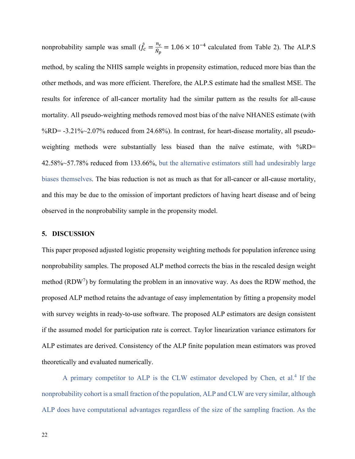nonprobability sample was small  $(\hat{f}_c = \frac{n_c}{\hat{N}_p} = 1.06 \times 10^{-4}$  calculated from Table 2). The ALP.S method, by scaling the NHIS sample weights in propensity estimation, reduced more bias than the other methods, and was more efficient. Therefore, the ALP.S estimate had the smallest MSE. The results for inference of all-cancer mortality had the similar pattern as the results for all-cause mortality. All pseudo-weighting methods removed most bias of the naïve NHANES estimate (with %RD=  $-3.21\%$   $\sim$  2.07% reduced from 24.68%). In contrast, for heart-disease mortality, all pseudoweighting methods were substantially less biased than the naïve estimate, with %RD= 42.58%~57.78% reduced from 133.66%, but the alternative estimators still had undesirably large biases themselves. The bias reduction is not as much as that for all-cancer or all-cause mortality, and this may be due to the omission of important predictors of having heart disease and of being observed in the nonprobability sample in the propensity model.

#### **5. DISCUSSION**

This paper proposed adjusted logistic propensity weighting methods for population inference using nonprobability samples. The proposed ALP method corrects the bias in the rescaled design weight method  $(RDW^7)$  by formulating the problem in an innovative way. As does the RDW method, the proposed ALP method retains the advantage of easy implementation by fitting a propensity model with survey weights in ready-to-use software. The proposed ALP estimators are design consistent if the assumed model for participation rate is correct. Taylor linearization variance estimators for ALP estimates are derived. Consistency of the ALP finite population mean estimators was proved theoretically and evaluated numerically.

A primary competitor to ALP is the CLW estimator developed by Chen, et al.<sup>4</sup> If the nonprobability cohort is a small fraction of the population, ALP and CLW are very similar, although ALP does have computational advantages regardless of the size of the sampling fraction. As the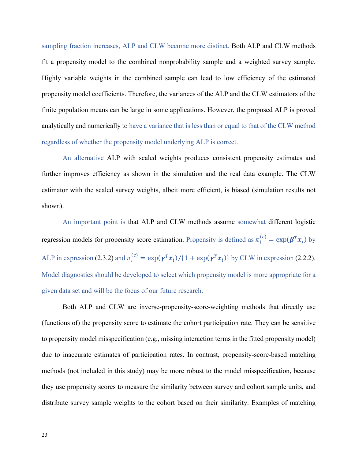sampling fraction increases, ALP and CLW become more distinct. Both ALP and CLW methods fit a propensity model to the combined nonprobability sample and a weighted survey sample. Highly variable weights in the combined sample can lead to low efficiency of the estimated propensity model coefficients. Therefore, the variances of the ALP and the CLW estimators of the finite population means can be large in some applications. However, the proposed ALP is proved analytically and numerically to have a variance that is less than or equal to that of the CLW method regardless of whether the propensity model underlying ALP is correct.

An alternative ALP with scaled weights produces consistent propensity estimates and further improves efficiency as shown in the simulation and the real data example. The CLW estimator with the scaled survey weights, albeit more efficient, is biased (simulation results not shown).

An important point is that ALP and CLW methods assume somewhat different logistic regression models for propensity score estimation. Propensity is defined as  $\pi_i^{(c)} = \exp(\beta^T x_i)$  by ALP in expression (2.3.2) and  $\pi_i^{(c)} = \exp(\gamma^T x_i) / \{1 + \exp(\gamma^T x_i)\}$  by CLW in expression (2.2.2). Model diagnostics should be developed to select which propensity model is more appropriate for a given data set and will be the focus of our future research.

Both ALP and CLW are inverse-propensity-score-weighting methods that directly use (functions of) the propensity score to estimate the cohort participation rate. They can be sensitive to propensity model misspecification (e.g., missing interaction terms in the fitted propensity model) due to inaccurate estimates of participation rates. In contrast, propensity-score-based matching methods (not included in this study) may be more robust to the model misspecification, because they use propensity scores to measure the similarity between survey and cohort sample units, and distribute survey sample weights to the cohort based on their similarity. Examples of matching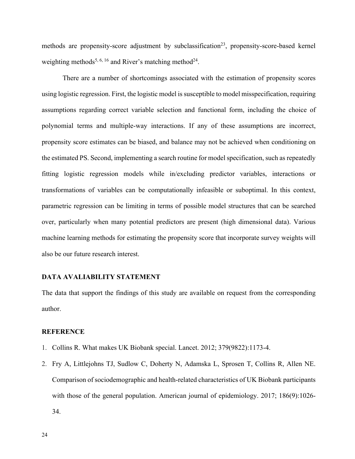methods are propensity-score adjustment by subclassification<sup>23</sup>, propensity-score-based kernel weighting methods<sup>5, 6, 16</sup> and River's matching method<sup>24</sup>.

There are a number of shortcomings associated with the estimation of propensity scores using logistic regression. First, the logistic model is susceptible to model misspecification, requiring assumptions regarding correct variable selection and functional form, including the choice of polynomial terms and multiple-way interactions. If any of these assumptions are incorrect, propensity score estimates can be biased, and balance may not be achieved when conditioning on the estimated PS. Second, implementing a search routine for model specification, such as repeatedly fitting logistic regression models while in/excluding predictor variables, interactions or transformations of variables can be computationally infeasible or suboptimal. In this context, parametric regression can be limiting in terms of possible model structures that can be searched over, particularly when many potential predictors are present (high dimensional data). Various machine learning methods for estimating the propensity score that incorporate survey weights will also be our future research interest.

#### **DATA AVALIABILITY STATEMENT**

The data that support the findings of this study are available on request from the corresponding author.

#### **REFERENCE**

- 1. Collins R. What makes UK Biobank special. Lancet. 2012; 379(9822):1173-4.
- 2. Fry A, Littlejohns TJ, Sudlow C, Doherty N, Adamska L, Sprosen T, Collins R, Allen NE. Comparison of sociodemographic and health-related characteristics of UK Biobank participants with those of the general population. American journal of epidemiology. 2017; 186(9):1026-34.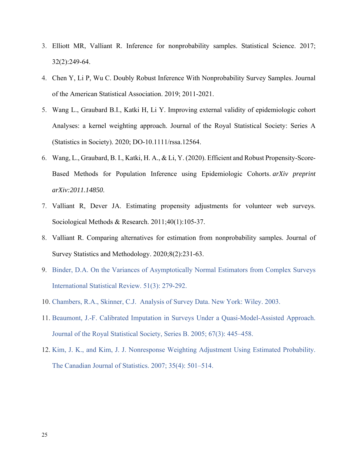- 3. Elliott MR, Valliant R. Inference for nonprobability samples. Statistical Science. 2017; 32(2):249-64.
- 4. Chen Y, Li P, Wu C. Doubly Robust Inference With Nonprobability Survey Samples. Journal of the American Statistical Association. 2019; 2011-2021.
- 5. Wang L., Graubard B.I., Katki H, Li Y. Improving external validity of epidemiologic cohort Analyses: a kernel weighting approach. Journal of the Royal Statistical Society: Series A (Statistics in Society). 2020; DO-10.1111/rssa.12564.
- 6. Wang, L., Graubard, B. I., Katki, H. A., & Li, Y. (2020). Efficient and Robust Propensity-Score-Based Methods for Population Inference using Epidemiologic Cohorts. *arXiv preprint arXiv:2011.14850*.
- 7. Valliant R, Dever JA. Estimating propensity adjustments for volunteer web surveys. Sociological Methods & Research. 2011;40(1):105-37.
- 8. Valliant R. Comparing alternatives for estimation from nonprobability samples. Journal of Survey Statistics and Methodology. 2020;8(2):231-63.
- 9. Binder, D.A. On the Variances of Asymptotically Normal Estimators from Complex Surveys International Statistical Review. 51(3): 279-292.
- 10. Chambers, R.A., Skinner, C.J. Analysis of Survey Data. New York: Wiley. 2003.
- 11. Beaumont, J.-F. Calibrated Imputation in Surveys Under a Quasi-Model-Assisted Approach. Journal of the Royal Statistical Society, Series B. 2005; 67(3): 445–458.
- 12. Kim, J. K., and Kim, J. J. Nonresponse Weighting Adjustment Using Estimated Probability. The Canadian Journal of Statistics. 2007; 35(4): 501–514.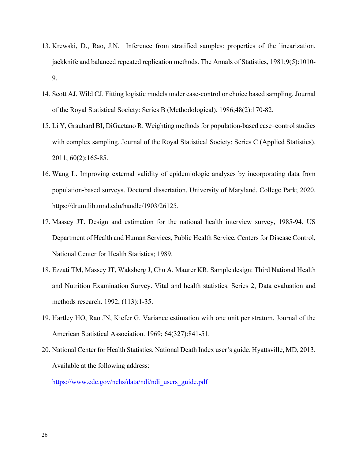- 13. Krewski, D., Rao, J.N. Inference from stratified samples: properties of the linearization, jackknife and balanced repeated replication methods. The Annals of Statistics, 1981;9(5):1010- 9.
- 14. Scott AJ, Wild CJ. Fitting logistic models under case‐control or choice based sampling. Journal of the Royal Statistical Society: Series B (Methodological). 1986;48(2):170-82.
- 15. Li Y, Graubard BI, DiGaetano R. Weighting methods for population‐based case–control studies with complex sampling. Journal of the Royal Statistical Society: Series C (Applied Statistics). 2011; 60(2):165-85.
- 16. Wang L. Improving external validity of epidemiologic analyses by incorporating data from population-based surveys. Doctoral dissertation, University of Maryland, College Park; 2020. https://drum.lib.umd.edu/handle/1903/26125.
- 17. Massey JT. Design and estimation for the national health interview survey, 1985-94. US Department of Health and Human Services, Public Health Service, Centers for Disease Control, National Center for Health Statistics; 1989.
- 18. Ezzati TM, Massey JT, Waksberg J, Chu A, Maurer KR. Sample design: Third National Health and Nutrition Examination Survey. Vital and health statistics. Series 2, Data evaluation and methods research. 1992; (113):1-35.
- 19. Hartley HO, Rao JN, Kiefer G. Variance estimation with one unit per stratum. Journal of the American Statistical Association. 1969; 64(327):841-51.
- 20. National Center for Health Statistics. National Death Index user's guide. Hyattsville, MD, 2013. Available at the following address:

https://www.cdc.gov/nchs/data/ndi/ndi\_users\_guide.pdf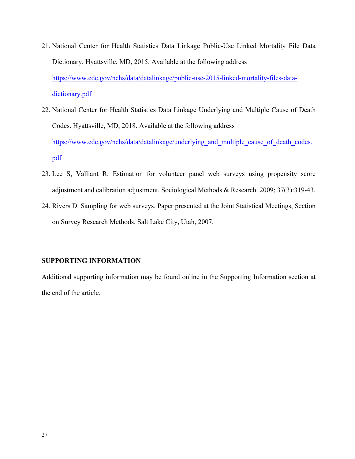- 21. National Center for Health Statistics Data Linkage Public-Use Linked Mortality File Data Dictionary. Hyattsville, MD, 2015. Available at the following address https://www.cdc.gov/nchs/data/datalinkage/public-use-2015-linked-mortality-files-datadictionary.pdf
- 22. National Center for Health Statistics Data Linkage Underlying and Multiple Cause of Death Codes. Hyattsville, MD, 2018. Available at the following address https://www.cdc.gov/nchs/data/datalinkage/underlying and multiple cause of death codes. pdf
- 23. Lee S, Valliant R. Estimation for volunteer panel web surveys using propensity score adjustment and calibration adjustment. Sociological Methods & Research. 2009; 37(3):319-43.
- 24. Rivers D. Sampling for web surveys. Paper presented at the Joint Statistical Meetings, Section on Survey Research Methods. Salt Lake City, Utah, 2007.

#### **SUPPORTING INFORMATION**

Additional supporting information may be found online in the Supporting Information section at the end of the article.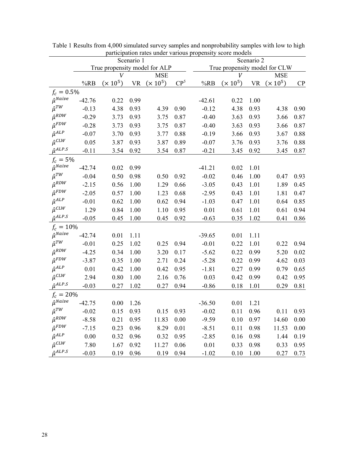|                     |                               |            |            |            |                               | participation rates under various propensity score models |            |            |            |            |
|---------------------|-------------------------------|------------|------------|------------|-------------------------------|-----------------------------------------------------------|------------|------------|------------|------------|
|                     |                               |            | Scenario 1 |            |                               |                                                           |            | Scenario 2 |            |            |
|                     | True propensity model for ALP |            |            |            | True propensity model for CLW |                                                           |            |            |            |            |
|                     |                               | V          |            | <b>MSE</b> |                               |                                                           | V          |            | <b>MSE</b> |            |
|                     | %RB                           | $(x 10^5)$ | <b>VR</b>  | $(x 10^5)$ | CP <sup>5</sup>               | %RB                                                       | $(x 10^5)$ | <b>VR</b>  | $(x 10^5)$ | ${\bf CP}$ |
| $f_c = 0.5\%$       |                               |            |            |            |                               |                                                           |            |            |            |            |
| $\hat{\mu}^{Naive}$ | $-42.76$                      | 0.22       | 0.99       |            |                               | $-42.61$                                                  | 0.22       | 1.00       |            |            |
| $\hat{\mu}^{TW}$    | $-0.13$                       | 4.38       | 0.93       | 4.39       | 0.90                          | $-0.12$                                                   | 4.38       | 0.93       | 4.38       | 0.90       |
| $\hat{\mu}^{RDW}$   | $-0.29$                       | 3.73       | 0.93       | 3.75       | 0.87                          | $-0.40$                                                   | 3.63       | 0.93       | 3.66       | 0.87       |
| $\hat{\mu}^{FDW}$   | $-0.28$                       | 3.73       | 0.93       | 3.75       | 0.87                          | $-0.40$                                                   | 3.63       | 0.93       | 3.66       | 0.87       |
| $\hat{\mu}^{ALP}$   | $-0.07$                       | 3.70       | 0.93       | 3.77       | 0.88                          | $-0.19$                                                   | 3.66       | 0.93       | 3.67       | 0.88       |
| $\hat{\mu}^{CLW}$   | 0.05                          | 3.87       | 0.93       | 3.87       | 0.89                          | $-0.07$                                                   | 3.76       | 0.93       | 3.76       | 0.88       |
| $\hat{\mu}^{ALP.S}$ | $-0.11$                       | 3.54       | 0.92       | 3.54       | 0.87                          | $-0.21$                                                   | 3.45       | 0.92       | 3.45       | 0.87       |
| $f_c = 5\%$         |                               |            |            |            |                               |                                                           |            |            |            |            |
| $\hat{\mu}^{Naive}$ | $-42.74$                      | 0.02       | 0.99       |            |                               | $-41.21$                                                  | 0.02       | 1.01       |            |            |
| $\hat{\mu}^{TW}$    | $-0.04$                       | 0.50       | 0.98       | 0.50       | 0.92                          | $-0.02$                                                   | 0.46       | 1.00       | 0.47       | 0.93       |
| $\hat{\mu}^{RDW}$   | $-2.15$                       | 0.56       | 1.00       | 1.29       | 0.66                          | $-3.05$                                                   | 0.43       | 1.01       | 1.89       | 0.45       |
| $\hat{\mu}^{FDW}$   | $-2.05$                       | 0.57       | 1.00       | 1.23       | 0.68                          | $-2.95$                                                   | 0.43       | 1.01       | 1.81       | 0.47       |
| $\hat{\mu}^{ALP}$   | $-0.01$                       | 0.62       | 1.00       | 0.62       | 0.94                          | $-1.03$                                                   | 0.47       | 1.01       | 0.64       | 0.85       |
| $\hat{\mu}^{CLW}$   | 1.29                          | 0.84       | 1.00       | 1.10       | 0.95                          | 0.01                                                      | 0.61       | 1.01       | 0.61       | 0.94       |
| $\hat{\mu}^{ALP.S}$ | $-0.05$                       | 0.45       | 1.00       | 0.45       | 0.92                          | $-0.63$                                                   | 0.35       | 1.02       | 0.41       | 0.86       |
| $f_c = 10\%$        |                               |            |            |            |                               |                                                           |            |            |            |            |
| $\hat{\mu}^{Naive}$ | $-42.74$                      | 0.01       | 1.11       |            |                               | $-39.65$                                                  | 0.01       | 1.11       |            |            |
| $\hat{\mu}^{TW}$    | $-0.01$                       | 0.25       | 1.02       | 0.25       | 0.94                          | $-0.01$                                                   | 0.22       | 1.01       | 0.22       | 0.94       |
| $\hat{\mu}^{RDW}$   | $-4.25$                       | 0.34       | 1.00       | 3.20       | 0.17                          | $-5.62$                                                   | 0.22       | 0.99       | 5.20       | 0.02       |
| $\hat{\mu}^{FDW}$   | $-3.87$                       | 0.35       | 1.00       | 2.71       | 0.24                          | $-5.28$                                                   | 0.22       | 0.99       | 4.62       | 0.03       |
| $\hat{\mu}^{ALP}$   | 0.01                          | 0.42       | 1.00       | 0.42       | 0.95                          | $-1.81$                                                   | 0.27       | 0.99       | 0.79       | 0.65       |
| $\hat{\mu}^{CLW}$   | 2.94                          | 0.80       | 1.00       | 2.16       | 0.76                          | 0.03                                                      | 0.42       | 0.99       | 0.42       | 0.95       |
| $\hat{\mu}^{ALP.S}$ | $-0.03$                       | 0.27       | 1.02       | 0.27       | 0.94                          | $-0.86$                                                   | 0.18       | 1.01       | 0.29       | 0.81       |
| $f_c = 20\%$        |                               |            |            |            |                               |                                                           |            |            |            |            |
| $\hat{\mu}^{Naive}$ | $-42.75$                      | 0.00       | 1.26       |            |                               | $-36.50$                                                  | 0.01       | 1.21       |            |            |
| $\hat{\mu}^{TW}$    | $-0.02$                       | 0.15       | 0.93       | 0.15       | 0.93                          | $-0.02$                                                   | 0.11       | 0.96       | 0.11       | 0.93       |
| $\hat{\mu}^{RDW}$   | $-8.58$                       | 0.21       | 0.95       | 11.83      | 0.00                          | $-9.59$                                                   | 0.10       | 0.97       | 14.60      | 0.00       |
| $\hat{\mu}^{FDW}$   | $-7.15$                       | 0.23       | 0.96       | 8.29       | 0.01                          | $-8.51$                                                   | 0.11       | 0.98       | 11.53      | 0.00       |
| $\hat{\mu}^{ALP}$   | $0.00\,$                      | 0.32       | 0.96       | 0.32       | 0.95                          | $-2.85$                                                   | 0.16       | 0.98       | 1.44       | 0.19       |
| $\hat{\mu}^{CLW}$   | 7.80                          | 1.67       | 0.92       | 11.27      | 0.06                          | $0.01\,$                                                  | 0.33       | 0.98       | 0.33       | 0.95       |
| $\hat{\mu}^{ALP.S}$ | $-0.03$                       | 0.19       | 0.96       | 0.19       | 0.94                          | $-1.02$                                                   | 0.10       | 1.00       | 0.27       | 0.73       |

Table 1 Results from 4,000 simulated survey samples and nonprobability samples with low to high participation rates under various propensity score models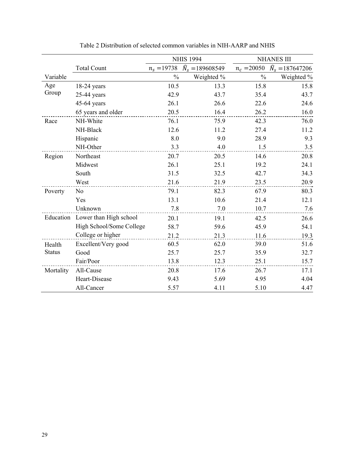|               |                          | <b>NHIS 1994</b> |                             | <b>NHANES III</b> |                             |  |
|---------------|--------------------------|------------------|-----------------------------|-------------------|-----------------------------|--|
|               | <b>Total Count</b>       | $n_s = 19738$    | $\widehat{N}_s = 189608549$ | $n_c = 20050$     | $\widehat{N}_s = 187647206$ |  |
| Variable      |                          | $\frac{0}{0}$    | Weighted %                  | $\frac{0}{0}$     | Weighted %                  |  |
| Age           | $18-24$ years            | 10.5             | 13.3                        | 15.8              | 15.8                        |  |
| Group         | $25-44$ years            | 42.9             | 43.7                        | 35.4              | 43.7                        |  |
|               | $45-64$ years            | 26.1             | 26.6                        | 22.6              | 24.6                        |  |
|               | 65 years and older       | 20.5             | 16.4                        | 26.2              | 16.0                        |  |
| Race          | NH-White                 | 76.1             | 75.9                        | 42.3              | 76.0                        |  |
|               | NH-Black                 | 12.6             | 11.2                        | 27.4              | 11.2                        |  |
|               | Hispanic                 | 8.0              | 9.0                         | 28.9              | 9.3                         |  |
|               | NH-Other                 | 3.3              | 4.0                         | 1.5               | 3.5                         |  |
| Region        | Northeast                | 20.7             | 20.5                        | 14.6              | 20.8                        |  |
|               | Midwest                  | 26.1             | 25.1                        | 19.2              | 24.1                        |  |
|               | South                    | 31.5             | 32.5                        | 42.7              | 34.3                        |  |
|               | West                     | 21.6             | 21.9                        | 23.5              | 20.9                        |  |
| Poverty       | No                       | 79.1             | 82.3                        | 67.9              | 80.3                        |  |
|               | Yes                      | 13.1             | 10.6                        | 21.4              | 12.1                        |  |
|               | Unknown                  | 7.8              | 7.0                         | 10.7              | 7.6                         |  |
| Education     | Lower than High school   | 20.1             | 19.1                        | 42.5              | 26.6                        |  |
|               | High School/Some College | 58.7             | 59.6                        | 45.9              | 54.1                        |  |
|               | College or higher        | 21.2             | 21.3                        | 11.6              | 19.3                        |  |
| Health        | Excellent/Very good      | 60.5             | 62.0                        | 39.0              | 51.6                        |  |
| <b>Status</b> | Good                     | 25.7             | 25.7                        | 35.9              | 32.7                        |  |
|               | Fair/Poor                | 13.8             | 12.3                        | 25.1              | 15.7                        |  |
| Mortality     | All-Cause                | 20.8             | 17.6                        | 26.7              | 17.1                        |  |
|               | Heart-Disease            | 9.43             | 5.69                        | 4.95              | 4.04                        |  |
|               | All-Cancer               | 5.57             | 4.11                        | 5.10              | 4.47                        |  |

Table 2 Distribution of selected common variables in NIH-AARP and NHIS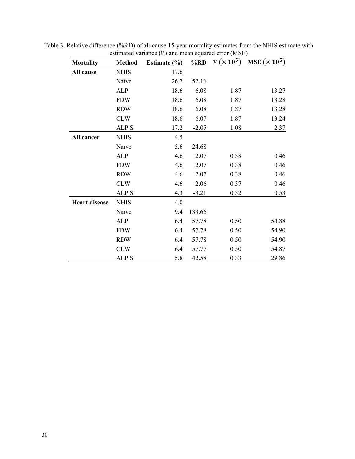| <b>Mortality</b>     | <b>Method</b> | $\mathbf{c}$ simated variance (V) and mean squared cribi (ividi)<br>Estimate $(\% )$ | %RD     | $V(x10^5)$ | MSE $(\times 10^5)$ |
|----------------------|---------------|--------------------------------------------------------------------------------------|---------|------------|---------------------|
| All cause            | <b>NHIS</b>   | 17.6                                                                                 |         |            |                     |
|                      | Naïve         | 26.7                                                                                 | 52.16   |            |                     |
|                      | ALP           | 18.6                                                                                 | 6.08    | 1.87       | 13.27               |
|                      | <b>FDW</b>    | 18.6                                                                                 | 6.08    | 1.87       | 13.28               |
|                      | <b>RDW</b>    | 18.6                                                                                 | 6.08    | 1.87       | 13.28               |
|                      | <b>CLW</b>    | 18.6                                                                                 | 6.07    | 1.87       | 13.24               |
|                      | ALP.S         | 17.2                                                                                 | $-2.05$ | 1.08       | 2.37                |
| All cancer           | <b>NHIS</b>   | 4.5                                                                                  |         |            |                     |
|                      | Naïve         | 5.6                                                                                  | 24.68   |            |                     |
|                      | ALP           | 4.6                                                                                  | 2.07    | 0.38       | 0.46                |
|                      | <b>FDW</b>    | 4.6                                                                                  | 2.07    | 0.38       | 0.46                |
|                      | <b>RDW</b>    | 4.6                                                                                  | 2.07    | 0.38       | 0.46                |
|                      | <b>CLW</b>    | 4.6                                                                                  | 2.06    | 0.37       | 0.46                |
|                      | ALP.S         | 4.3                                                                                  | $-3.21$ | 0.32       | 0.53                |
| <b>Heart disease</b> | <b>NHIS</b>   | 4.0                                                                                  |         |            |                     |
|                      | Naïve         | 9.4                                                                                  | 133.66  |            |                     |
|                      | <b>ALP</b>    | 6.4                                                                                  | 57.78   | 0.50       | 54.88               |
|                      | <b>FDW</b>    | 6.4                                                                                  | 57.78   | 0.50       | 54.90               |
|                      | <b>RDW</b>    | 6.4                                                                                  | 57.78   | 0.50       | 54.90               |
|                      | <b>CLW</b>    | 6.4                                                                                  | 57.77   | 0.50       | 54.87               |
|                      | ALP.S         | 5.8                                                                                  | 42.58   | 0.33       | 29.86               |

Table 3. Relative difference (%RD) of all-cause 15-year mortality estimates from the NHIS estimate with estimated variance  $(V)$  and mean squared error (MSE)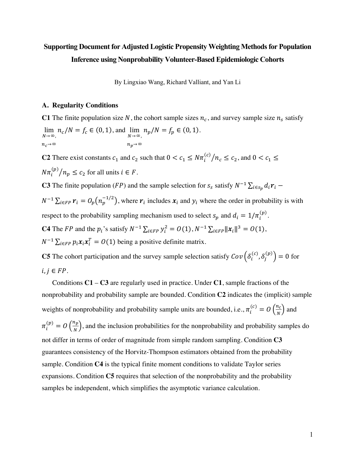# **Supporting Document for Adjusted Logistic Propensity Weighting Methods for Population Inference using Nonprobability Volunteer-Based Epidemiologic Cohorts**

By Lingxiao Wang, Richard Valliant, and Yan Li

#### **A. Regularity Conditions**

**C1** The finite population size N, the cohort sample sizes  $n_c$ , and survey sample size  $n_s$  satisfy lim  $\lim_{N \to \infty} n_c/N = f_c \in (0, 1),$  and  $\lim_{N \to \infty} n_p/N = f_p \in (0, 1).$  $n_c \rightarrow \infty$  $n_p \rightarrow \infty$ 

**C2** There exist constants  $c_1$  and  $c_2$  such that  $0 < c_1 \le N \pi_i^{(c)}/n_c \le c_2$ , and  $0 < c_1 \le$  $N\pi_i^{(p)}/n_p \leq c_2$  for all units  $i \in F$ .

**C3** The finite population ( $FP$ ) and the sample selection for  $s_s$  satisfy  $N^{-1} \sum_{i \in s_p} d_i r_i$  –

 $N^{-1} \sum_{i \in FP} r_i = O_p(n_p^{-1/2})$ , where  $r_i$  includes  $x_i$  and  $y_i$  where the order in probability is with respect to the probability sampling mechanism used to select  $s_p$  and  $d_i = 1/\pi_i^{(p)}$ . **C4** The *FP* and the  $p_i$ 's satisfy  $N^{-1} \sum_{i \in FP} y_i^2 = O(1)$ ,  $N^{-1} \sum_{i \in FP} ||x_i||^3 = O(1)$ ,  $N^{-1} \sum_{i \in FP} p_i \mathbf{x}_i \mathbf{x}_i^T = O(1)$  being a positive definite matrix.

**C5** The cohort participation and the survey sample selection satisfy  $Cov(\delta_i^{(c)}, \delta_j^{(p)}) = 0$  for  $i, j \in FP$ .

Conditions **C1** – **C3** are regularly used in practice. Under **C1**, sample fractions of the nonprobability and probability sample are bounded. Condition **C2** indicates the (implicit) sample weights of nonprobability and probability sample units are bounded, i.e.,  $\pi_i^{(c)} = O\left(\frac{n_c}{N}\right)$  and  $\pi_i^{(p)} = O\left(\frac{n_p}{N}\right)$ , and the inclusion probabilities for the nonprobability and probability samples do not differ in terms of order of magnitude from simple random sampling. Condition **C3**  guarantees consistency of the Horvitz-Thompson estimators obtained from the probability sample. Condition **C4** is the typical finite moment conditions to validate Taylor series expansions. Condition **C5** requires that selection of the nonprobability and the probability samples be independent, which simplifies the asymptotic variance calculation.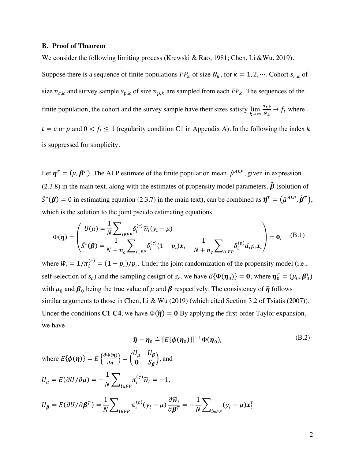#### **B. Proof of Theorem**

We consider the following limiting process (Krewski & Rao, 1981; Chen, Li &Wu, 2019).

Suppose there is a sequence of finite populations  $FP_k$  of size  $N_k$ , for  $k = 1, 2, \dots$ . Cohort  $s_{c,k}$  of size  $n_{c,k}$  and survey sample  $s_{p,k}$  of size  $n_{p,k}$  are sampled from each  $FP_k$ . The sequences of the finite population, the cohort and the survey sample have their sizes satisfy  $\lim_{k\to\infty}$  $n_{t,k}$  $\frac{v_{t,k}}{N_k} \rightarrow f_t$  where  $t = c$  or  $p$  and  $0 < f_t \le 1$  (regularity condition C1 in Appendix A). In the following the index k is suppressed for simplicity.

Let  $\eta^T = (\mu, \beta^T)$ . The ALP estimate of the finite population mean,  $\hat{\mu}^{ALP}$ , given in expression (2.3.8) in the main text, along with the estimates of propensity model parameters,  $\hat{\boldsymbol{\beta}}$  (solution of  $\tilde{S}^*(\beta) = 0$  in estimating equation (2.3.7) in the main text), can be combined as  $\hat{\eta}^T = (\hat{\mu}^{ALP}, \hat{\beta}^T)$ , which is the solution to the joint pseudo estimating equations

$$
\Phi(\boldsymbol{\eta}) = \begin{pmatrix} U(\mu) = \frac{1}{N} \sum_{i \in FP} \delta_i^{(c)} \widetilde{w}_i (y_i - \mu) \\ \widetilde{S}^*(\boldsymbol{\beta}) = \frac{1}{N + n_c} \sum_{i \in FP} \delta_i^{(c)} (1 - p_i) x_i - \frac{1}{N + n_c} \sum_{i \in FP} \delta_i^{(p)} d_i p_i x_i \end{pmatrix} = \mathbf{0}, \quad (B.1)
$$

where  $\tilde{w}_i = 1/\pi_i^{(c)} = (1 - p_i)/p_i$ . Under the joint randomization of the propensity model (i.e., self-selection of  $s_c$ ) and the sampling design of  $s_s$ , we have  $E{\phi(\eta_0)} = 0$ , where  $\eta_0^T = (\mu_0, \beta_0^T)$ with  $\mu_0$  and  $\beta_0$  being the true value of  $\mu$  and  $\beta$  respectively. The consistency of  $\hat{\eta}$  follows similar arguments to those in Chen, Li & Wu (2019) (which cited Section 3.2 of Tsiatis (2007)). Under the conditions **C1-C4**, we have  $\Phi(\hat{\eta}) = 0$  By applying the first-order Taylor expansion, we have

$$
\widehat{\boldsymbol{\eta}} - \boldsymbol{\eta}_0 \doteq [E\{\phi(\boldsymbol{\eta}_0)\}]^{-1} \Phi(\boldsymbol{\eta}_0), \tag{B.2}
$$

where  $E\{\phi(\eta)\} = E\left\{\frac{\partial \Phi(\eta)}{\partial \eta}\right\} = \left(\frac{\partial \Phi(\eta)}{\partial \eta}\right)$  $U_{\mu}$   $U_{\beta}$  $\begin{pmatrix} \mu & p \\ 0 & S_{\beta} \end{pmatrix}$ , and  $U_{\mu} = E(\partial U/\partial \mu) = -\frac{1}{N} \sum_{i \in FP} \pi_i^{(c)} \widetilde{w}_i$  $=-1,$  $U_{\beta} = E(\partial U/\partial \beta^{T}) = \frac{1}{N} \sum_{i \in FP} \pi_{i}^{(c)}(y_{i} - \mu)$  $\partial \widetilde{w}_i$  $i\in FP$ <sup>n</sup>i  $y_i$ <sup>n</sup>  $\partial \beta^T$  $=-\frac{1}{N}\sum_{i\in FP}(y_i-\mu)x_i^T$ i∈FP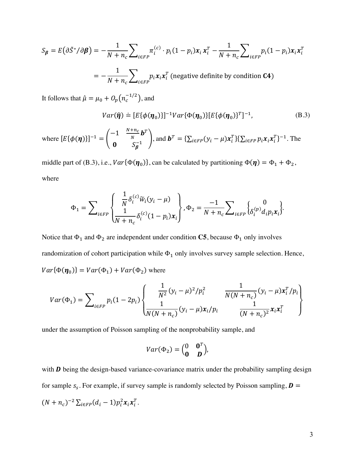$$
S_{\beta} = E(\partial \tilde{S}^*/\partial \beta) = -\frac{1}{N+n_c} \sum_{i \in FP} \pi_i^{(c)} \cdot p_i (1-p_i) x_i x_i^T - \frac{1}{N+n_c} \sum_{i \in FP} p_i (1-p_i) x_i x_i^T
$$

$$
= -\frac{1}{N+n_c} \sum_{i \in FP} p_i x_i x_i^T \text{ (negative definite by condition C4)}
$$

It follows that  $\hat{\mu} = \mu_0 + O_p\big(n_c^{-1/2}\big)$ , and

$$
Var(\hat{\boldsymbol{\eta}}) \doteq [E\{\phi(\boldsymbol{\eta}_0)\}]^{-1}Var\{\Phi(\boldsymbol{\eta}_0)\}[E\{\phi(\boldsymbol{\eta}_0)\}^T]^{-1},
$$
(B.3)

where  $[E{\phi(\eta)}]^{-1} =$  $-1$   $\frac{N+n_c}{N}$ *b*<sup>T</sup>  $\int_{\mathbf{0}}^{N}$   $\int_{\mathcal{S}_{\beta}^{-1}}^{N}$ , and  $\mathbf{b}^{T} = {\sum_{i \in FP} (y_i - \mu) \mathbf{x}_i^{T}} {\sum_{i \in FP} p_i \mathbf{x}_i \mathbf{x}_i^{T}}^{-1}$ . The

middle part of (B.3), i.e.,  $Var{\phi(\eta_0)}$ , can be calculated by partitioning  $\Phi(\eta) = \Phi_1 + \Phi_2$ , where

$$
\Phi_1 = \sum_{i \in FP} \left\{ \frac{\frac{1}{N} \delta_i^{(c)} \widetilde{w}_i (y_i - \mu)}{\frac{1}{N + n_c} \delta_i^{(c)} (1 - p_i) x_i} \right\}, \Phi_2 = \frac{-1}{N + n_c} \sum_{i \in FP} \left\{ \delta_i^{(p)} d_i p_i x_i \right\}
$$

Notice that  $\Phi_1$  and  $\Phi_2$  are independent under condition **C5**, because  $\Phi_1$  only involves randomization of cohort participation while  $\Phi_1$  only involves survey sample selection. Hence,  $Var{\{\Phi(\boldsymbol{\eta}_0)\}} = Var(\Phi_1) + Var(\Phi_2)$  where

$$
Var(\Phi_1) = \sum_{i \in FP} p_i (1 - 2p_i) \left\{ \begin{array}{c} \frac{1}{N^2} (y_i - \mu)^2 / p_i^2 & \frac{1}{N(N + n_c)} (y_i - \mu) x_i^T / p_i \\ \frac{1}{N(N + n_c)} (y_i - \mu) x_i / p_i & \frac{1}{(N + n_c)^2} x_i x_i^T \end{array} \right\}
$$

under the assumption of Poisson sampling of the nonprobability sample, and

$$
Var(\Phi_2) = \begin{pmatrix} 0 & \mathbf{0}^T \\ \mathbf{0} & \mathbf{D} \end{pmatrix},
$$

with  $D$  being the design-based variance-covariance matrix under the probability sampling design for sample  $s_s$ . For example, if survey sample is randomly selected by Poisson sampling,  $\boldsymbol{D} =$  $(N + n_c)^{-2} \sum_{i \in FP} (d_i - 1) p_i^2 x_i x_i^T$ .

.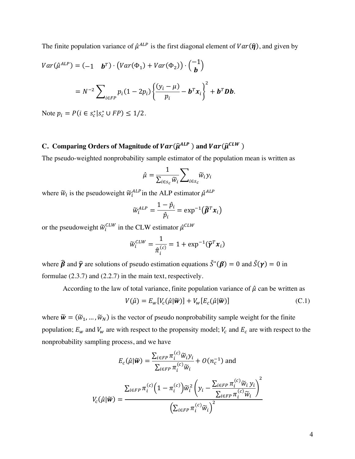The finite population variance of  $\hat{\mu}^{ALP}$  is the first diagonal element of  $Var(\hat{\eta})$ , and given by

$$
Var(\hat{\mu}^{ALP}) = (-1 \quad \mathbf{b}^T) \cdot (Var(\Phi_1) + Var(\Phi_2)) \cdot \left(\frac{-1}{\mathbf{b}}\right)
$$

$$
= N^{-2} \sum_{i \in FP} p_i (1 - 2p_i) \left\{ \frac{(y_i - \mu)}{p_i} - \mathbf{b}^T \mathbf{x}_i \right\}^2 + \mathbf{b}^T \mathbf{D} \mathbf{b}.
$$

Note  $p_i = P(i \in s_c^* | s_c^* \cup FP) \le 1/2$ .

# **C.** Comparing Orders of Magnitude of  $Var(\hat{\mu}^{ALP})$  and  $Var(\hat{\mu}^{CLW})$

The pseudo-weighted nonprobability sample estimator of the population mean is written as

$$
\hat{\mu} = \frac{1}{\sum_{i \in s_c} \widetilde{w}_i} \sum_{i \in s_c} \widetilde{w}_i y_i
$$

where  $\widetilde{w}_i$  is the pseudoweight  $\widetilde{w}_i^{ALP}$  in the ALP estimator  $\hat{\mu}^{ALP}$ 

$$
\widetilde{w}_{i}^{ALP} = \frac{1 - \hat{p}_{i}}{\hat{p}_{i}} = \exp^{-1}(\widehat{\boldsymbol{\beta}}^{T}\boldsymbol{x}_{i})
$$

or the pseudoweight  $\widetilde{w}_{i}^{\mathit{CLW}}$  in the CLW estimator  $\hat{\mu}^{\mathit{CLW}}$ 

$$
\widetilde{w}_{i}^{CLW} = \frac{1}{\widehat{\pi}_{i}^{(c)}} = 1 + \exp^{-1}(\widehat{\mathbf{\gamma}}^{T}\mathbf{x}_{i})
$$

where  $\hat{\beta}$  and  $\hat{\gamma}$  are solutions of pseudo estimation equations  $\tilde{S}^*(\beta) = 0$  and  $\tilde{S}(\gamma) = 0$  in formulae (2.3.7) and (2.2.7) in the main text, respectively.

According to the law of total variance, finite population variance of  $\hat{\mu}$  can be written as

$$
V(\hat{\mu}) = E_w[V_c(\hat{\mu}|\tilde{\mathbf{w}})] + V_w[E_c(\hat{\mu}|\tilde{\mathbf{w}})]
$$
\n(C.1)

where  $\widetilde{\mathbf{w}} = (\widetilde{w}_1, ..., \widetilde{w}_N)$  is the vector of pseudo nonprobability sample weight for the finite population;  $E_w$  and  $V_w$  are with respect to the propensity model;  $V_c$  and  $E_c$  are with respect to the nonprobability sampling process, and we have

$$
E_c(\hat{\mu}|\widetilde{\mathbf{w}}) = \frac{\sum_{i \in FP} \pi_i^{(c)} \widetilde{w}_i y_i}{\sum_{i \in FP} \pi_i^{(c)} \widetilde{w}_i} + O(n_c^{-1}) \text{ and}
$$

$$
V_c(\hat{\mu}|\widetilde{\mathbf{w}}) = \frac{\sum_{i \in FP} \pi_i^{(c)} (1 - \pi_i^{(c)}) \widetilde{w}_i^2 \left( y_i - \frac{\sum_{i \in FP} \pi_i^{(c)} \widetilde{w}_i y_i}{\sum_{i \in FP} \pi_i^{(c)} \widetilde{w}_i} \right)^2}{\left( \sum_{i \in FP} \pi_i^{(c)} \widetilde{w}_i \right)^2}
$$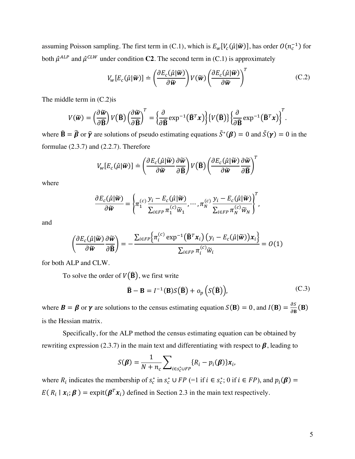assuming Poisson sampling. The first term in (C.1), which is  $E_w[V_c(\hat{\mu}|\tilde{w})]$ , has order  $O(n_c^{-1})$  for both  $\hat{\mu}^{ALP}$  and  $\hat{\mu}^{CLW}$  under condition **C2**. The second term in (C.1) is approximately

$$
V_{w}[E_{c}(\hat{\mu}|\widetilde{\boldsymbol{w}})] \doteq \left(\frac{\partial E_{c}(\hat{\mu}|\widetilde{\boldsymbol{w}})}{\partial \widetilde{\boldsymbol{w}}}\right) V(\widetilde{\boldsymbol{w}}) \left(\frac{\partial E_{c}(\hat{\mu}|\widetilde{\boldsymbol{w}})}{\partial \widetilde{\boldsymbol{w}}}\right)^{T}
$$
(C.2)

The middle term in (C.2)is

$$
V(\widetilde{\mathbf{w}}) = \left(\frac{\partial \widetilde{\mathbf{w}}}{\partial \widehat{\mathbf{B}}}\right) V(\widehat{\mathbf{B}}) \left(\frac{\partial \widetilde{\mathbf{w}}}{\partial \widehat{\mathbf{B}}}\right)^T = \left\{\frac{\partial}{\partial \widehat{\mathbf{B}}}\exp^{-1}(\widehat{\mathbf{B}}^T\mathbf{x})\right\} \left\{V(\widehat{\mathbf{B}})\right\} \left\{\frac{\partial}{\partial \widehat{\mathbf{B}}}\exp^{-1}(\widehat{\mathbf{B}}^T\mathbf{x})\right\}^T.
$$

where  $\hat{\mathbf{B}} = \hat{\boldsymbol{\beta}}$  or  $\hat{\boldsymbol{\gamma}}$  are solutions of pseudo estimating equations  $\tilde{S}^*(\boldsymbol{\beta}) = 0$  and  $\tilde{S}(\boldsymbol{\gamma}) = 0$  in the formulae (2.3.7) and (2.2.7). Therefore

$$
V_{w}[E_{c}(\hat{\mu}|\widetilde{\mathbf{w}})] \doteq \left(\frac{\partial E_{c}(\hat{\mu}|\widetilde{\mathbf{w}})}{\partial \widetilde{\mathbf{w}}}\frac{\partial \widetilde{\mathbf{w}}}{\partial \widehat{\mathbf{B}}}\right)V(\widehat{\mathbf{B}})\left(\frac{\partial E_{c}(\hat{\mu}|\widetilde{\mathbf{w}})}{\partial \widetilde{\mathbf{w}}}\frac{\partial \widetilde{\mathbf{w}}}{\partial \widehat{\mathbf{B}}}\right)^{T}
$$

where

$$
\frac{\partial E_c(\hat{\mu}|\widetilde{\mathbf{w}})}{\partial \widetilde{\mathbf{w}}} = \left\{ \pi_1^{(c)} \frac{y_i - E_c(\hat{\mu}|\widetilde{\mathbf{w}})}{\sum_{i \in FP} \pi_1^{(c)} \widetilde{w}_1}, \cdots, \pi_N^{(c)} \frac{y_i - E_c(\hat{\mu}|\widetilde{\mathbf{w}})}{\sum_{i \in FP} \pi_N^{(c)} \widetilde{w}_N} \right\}^T,
$$

and

$$
\left(\frac{\partial E_c(\hat{\mu}|\widetilde{\mathbf{w}})}{\partial \widetilde{\mathbf{w}}}\frac{\partial \widetilde{\mathbf{w}}}{\partial \widehat{\mathbf{B}}}\right) = -\frac{\sum_{i \in FP} \left\{\pi_i^{(c)} \exp^{-1}\left(\widehat{\mathbf{B}}^T \mathbf{x}_i\right) \left(y_i - E_c(\hat{\mu}|\widetilde{\mathbf{w}})\right) \mathbf{x}_i\right\}}{\sum_{i \in FP} \pi_i^{(c)} \widetilde{w}_i} = O(1)
$$

for both ALP and CLW.

To solve the order of  $V(\widehat{B})$ , we first write

$$
\hat{\mathbf{B}} - \mathbf{B} = I^{-1}(\mathbf{B})S(\hat{\mathbf{B}}) + o_p(S(\hat{\mathbf{B}})),
$$
 (C.3)

where  $B = \beta$  or  $\gamma$  are solutions to the census estimating equation  $S(B) = 0$ , and  $I(B) = \frac{\partial S}{\partial B}(B)$ is the Hessian matrix.

Specifically, for the ALP method the census estimating equation can be obtained by rewriting expression (2.3.7) in the main text and differentiating with respect to  $\beta$ , leading to

$$
S(\boldsymbol{\beta}) = \frac{1}{N + n_c} \sum_{i \in S_c^* \cup FP} \{R_i - p_i(\boldsymbol{\beta})\} x_i,
$$

where  $R_i$  indicates the membership of  $s_c^*$  in  $s_c^* \cup FP$  (=1 if  $i \in s_c^*$ ; 0 if  $i \in FP$ ), and  $p_i(\boldsymbol{\beta})$  =  $E(R_i | x_i; \boldsymbol{\beta}) = \text{expit}(\boldsymbol{\beta}^T x_i)$  defined in Section 2.3 in the main text respectively.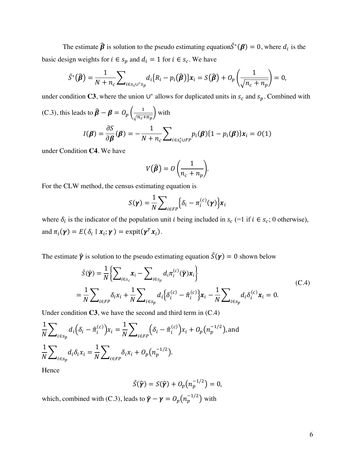The estimate  $\hat{\beta}$  is solution to the pseudo estimating equation $\tilde{S}^*(\beta) = 0$ , where  $d_i$  is the basic design weights for  $i \in s_p$  and  $d_i = 1$  for  $i \in s_c$ . We have

$$
\tilde{S}^*(\widehat{\boldsymbol{\beta}})=\frac{1}{N+n_c}\sum_{i\in s_c\cup^*s_p}d_i\{R_i-p_i(\widehat{\boldsymbol{\beta}})\}\boldsymbol{x}_i=S(\widehat{\boldsymbol{\beta}})+O_p\left(\frac{1}{\sqrt{n_c+n_p}}\right)=0,
$$

under condition **C3**, where the union  $\cup^*$  allows for duplicated units in  $s_c$  and  $s_p$ . Combined with

(C.3), this leads to 
$$
\hat{\boldsymbol{\beta}} - \boldsymbol{\beta} = O_p\left(\frac{1}{\sqrt{n_c + n_p}}\right)
$$
 with  
\n
$$
I(\boldsymbol{\beta}) = \frac{\partial S}{\partial \boldsymbol{\beta}}(\boldsymbol{\beta}) = -\frac{1}{N + n_c} \sum_{i \in S_c^* \cup FP} p_i(\boldsymbol{\beta}) \{1 - p_i(\boldsymbol{\beta})\} x_i = O(1)
$$

under Condition **C4**. We have

$$
V(\widehat{\boldsymbol{\beta}})=O\bigg(\frac{1}{n_c+n_p}\bigg).
$$

For the CLW method, the census estimating equation is

$$
S(\boldsymbol{\gamma}) = \frac{1}{N} \sum_{i \in FP} \Bigl\{ \delta_i - \pi_i^{(c)}(\boldsymbol{\gamma}) \Bigr\} \boldsymbol{x}_i
$$

where  $\delta_i$  is the indicator of the population unit *i* being included in  $s_c$  (=1 if  $i \in s_c$ ; 0 otherwise), and  $\pi_i(\gamma) = E(\delta_i \mid x_i; \gamma) = \text{expit}(\gamma^T x_i).$ 

The estimate  $\hat{\gamma}$  is solution to the pseudo estimating equation  $\tilde{S}(\gamma) = 0$  shown below

$$
\tilde{S}(\hat{\boldsymbol{\gamma}}) = \frac{1}{N} \Biggl\{ \sum_{i \in S_c} \boldsymbol{x}_i - \sum_{i \in S_p} d_i \pi_i^{(c)}(\hat{\boldsymbol{\gamma}}) \boldsymbol{x}_i \Biggr\} \n= \frac{1}{N} \sum_{i \in FP} \delta_i x_i + \frac{1}{N} \sum_{i \in S_p} d_i \Biggl\{ \delta_i^{(c)} - \hat{\pi}_i^{(c)} \Biggr\} \boldsymbol{x}_i - \frac{1}{N} \sum_{i \in S_p} d_i \delta_i^{(c)} \boldsymbol{x}_i = 0.
$$
\n(C.4)

Under condition **C3**, we have the second and third term in (C.4)

$$
\frac{1}{N} \sum_{i \in s_p} d_i \left( \delta_i - \hat{\pi}_i^{(c)} \right) x_i = \frac{1}{N} \sum_{i \in FP} \left( \delta_i - \hat{\pi}_i^{(c)} \right) x_i + O_p(n_p^{-1/2}),
$$
and
$$
\frac{1}{N} \sum_{i \in s_p} d_i \delta_i x_i = \frac{1}{N} \sum_{i \in FP} \delta_i x_i + O_p(n_p^{-1/2}).
$$

Hence

$$
\tilde{S}(\hat{\boldsymbol{\gamma}})=S(\hat{\boldsymbol{\gamma}})+O_p(n_p^{-1/2})=0,
$$

which, combined with (C.3), leads to  $\hat{\gamma} - \gamma = O_p(n_p^{-1/2})$  with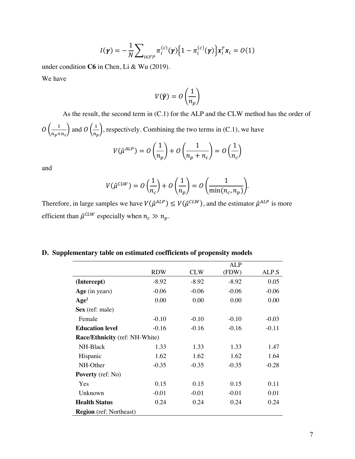$$
I(\boldsymbol{\gamma}) = -\frac{1}{N} \sum_{i \in FP} \pi_i^{(c)}(\boldsymbol{\gamma}) \Big\{ 1 - \pi_i^{(c)}(\boldsymbol{\gamma}) \Big\} x_i^T x_i = O(1)
$$

under condition **C6** in Chen, Li & Wu (2019).

We have

$$
V(\widehat{\boldsymbol{\gamma}})=O\left(\frac{1}{n_p}\right)
$$

As the result, the second term in (C.1) for the ALP and the CLW method has the order of

$$
O\left(\frac{1}{n_p+n_c}\right)
$$
 and  $O\left(\frac{1}{n_p}\right)$ , respectively. Combining the two terms in (C.1), we have

$$
V(\hat{\mu}^{ALP}) = O\left(\frac{1}{n_p}\right) + O\left(\frac{1}{n_p + n_c}\right) = O\left(\frac{1}{n_c}\right)
$$

and

$$
V(\hat{\mu}^{CLW}) = O\left(\frac{1}{n_c}\right) + O\left(\frac{1}{n_p}\right) = O\left(\frac{1}{\min(n_c, n_p)}\right).
$$

Therefore, in large samples we have  $V(\hat{\mu}^{ALP}) \leq V(\hat{\mu}^{CLW})$ , and the estimator  $\hat{\mu}^{ALP}$  is more efficient than  $\hat{\mu}^{CLW}$  especially when  $n_c \gg n_p$ .

## **D. Supplementary table on estimated coefficients of propensity models**

|                                       |            |         | <b>ALP</b> |         |  |
|---------------------------------------|------------|---------|------------|---------|--|
|                                       | <b>RDW</b> | CLW     | (FDW)      | ALP.S   |  |
| (Intercept)                           | $-8.92$    | $-8.92$ | $-8.92$    | 0.05    |  |
| Age (in years)                        | $-0.06$    | $-0.06$ | $-0.06$    | $-0.06$ |  |
| Age <sup>2</sup>                      | 0.00       | 0.00    | 0.00       | 0.00    |  |
| Sex (ref: male)                       |            |         |            |         |  |
| Female                                | $-0.10$    | $-0.10$ | $-0.10$    | $-0.03$ |  |
| <b>Education level</b>                | $-0.16$    | $-0.16$ | $-0.16$    | $-0.11$ |  |
| <b>Race/Ethnicity</b> (ref: NH-White) |            |         |            |         |  |
| NH-Black                              | 1.33       | 1.33    | 1.33       | 1.47    |  |
| Hispanic                              | 1.62       | 1.62    | 1.62       | 1.64    |  |
| NH-Other                              | $-0.35$    | $-0.35$ | $-0.35$    | $-0.28$ |  |
| <b>Poverty</b> (ref: No)              |            |         |            |         |  |
| Yes                                   | 0.15       | 0.15    | 0.15       | 0.11    |  |
| Unknown                               | $-0.01$    | $-0.01$ | $-0.01$    | 0.01    |  |
| <b>Health Status</b>                  | 0.24       | 0.24    | 0.24       | 0.24    |  |
| <b>Region</b> (ref: Northeast)        |            |         |            |         |  |